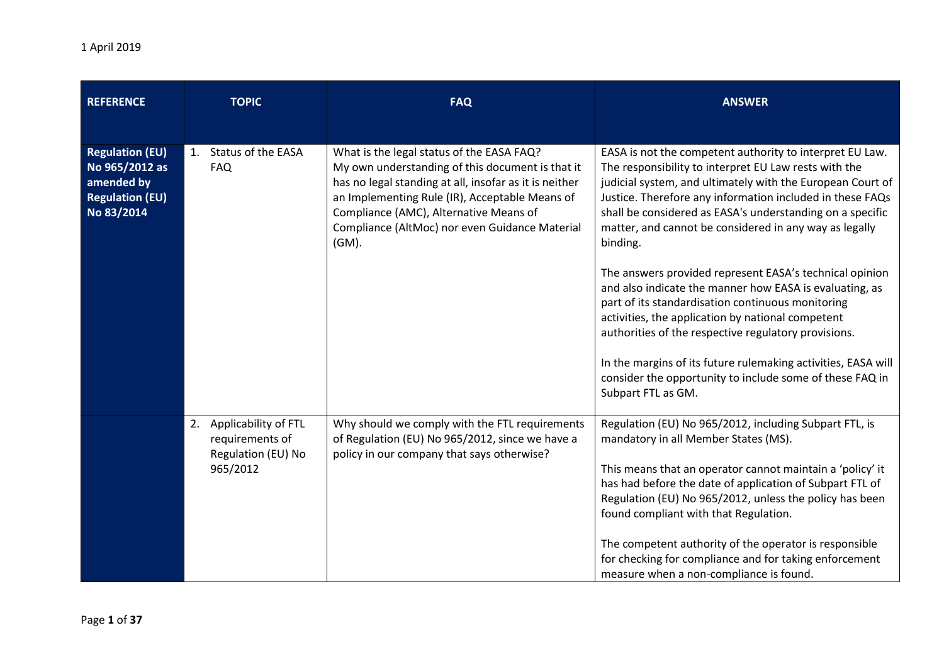| <b>REFERENCE</b>                                                                               |    | <b>TOPIC</b>                                                                 | <b>FAQ</b>                                                                                                                                                                                                                                                                                                     | <b>ANSWER</b>                                                                                                                                                                                                                                                                                                                                                                                                                                                                              |
|------------------------------------------------------------------------------------------------|----|------------------------------------------------------------------------------|----------------------------------------------------------------------------------------------------------------------------------------------------------------------------------------------------------------------------------------------------------------------------------------------------------------|--------------------------------------------------------------------------------------------------------------------------------------------------------------------------------------------------------------------------------------------------------------------------------------------------------------------------------------------------------------------------------------------------------------------------------------------------------------------------------------------|
| <b>Regulation (EU)</b><br>No 965/2012 as<br>amended by<br><b>Regulation (EU)</b><br>No 83/2014 | 1. | <b>Status of the EASA</b><br><b>FAQ</b>                                      | What is the legal status of the EASA FAQ?<br>My own understanding of this document is that it<br>has no legal standing at all, insofar as it is neither<br>an Implementing Rule (IR), Acceptable Means of<br>Compliance (AMC), Alternative Means of<br>Compliance (AltMoc) nor even Guidance Material<br>(GM). | EASA is not the competent authority to interpret EU Law.<br>The responsibility to interpret EU Law rests with the<br>judicial system, and ultimately with the European Court of<br>Justice. Therefore any information included in these FAQs<br>shall be considered as EASA's understanding on a specific<br>matter, and cannot be considered in any way as legally<br>binding.<br>The answers provided represent EASA's technical opinion                                                 |
|                                                                                                |    |                                                                              |                                                                                                                                                                                                                                                                                                                | and also indicate the manner how EASA is evaluating, as<br>part of its standardisation continuous monitoring<br>activities, the application by national competent<br>authorities of the respective regulatory provisions.<br>In the margins of its future rulemaking activities, EASA will<br>consider the opportunity to include some of these FAQ in<br>Subpart FTL as GM.                                                                                                               |
|                                                                                                |    | 2. Applicability of FTL<br>requirements of<br>Regulation (EU) No<br>965/2012 | Why should we comply with the FTL requirements<br>of Regulation (EU) No 965/2012, since we have a<br>policy in our company that says otherwise?                                                                                                                                                                | Regulation (EU) No 965/2012, including Subpart FTL, is<br>mandatory in all Member States (MS).<br>This means that an operator cannot maintain a 'policy' it<br>has had before the date of application of Subpart FTL of<br>Regulation (EU) No 965/2012, unless the policy has been<br>found compliant with that Regulation.<br>The competent authority of the operator is responsible<br>for checking for compliance and for taking enforcement<br>measure when a non-compliance is found. |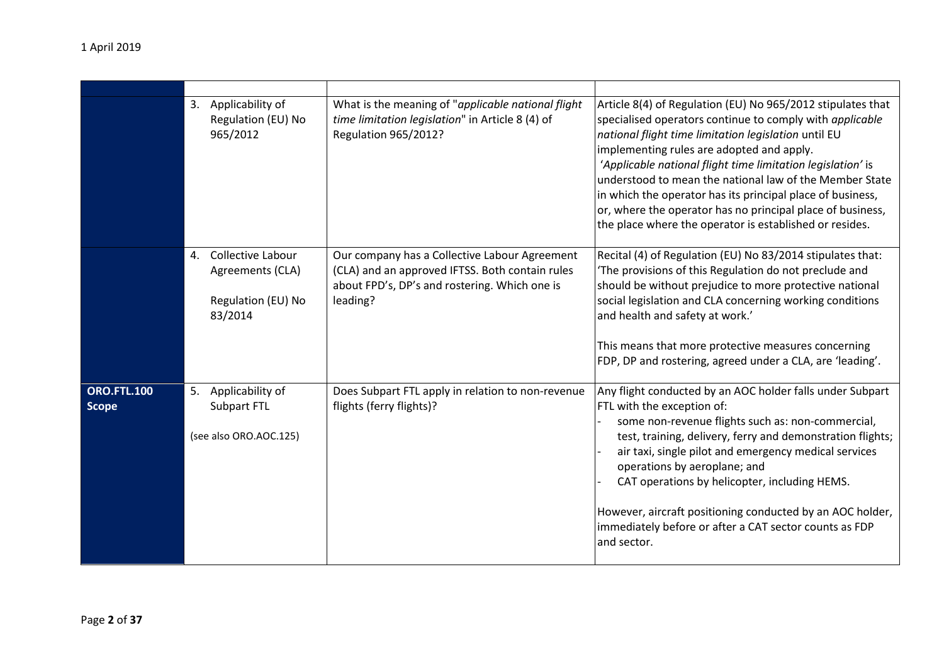|                                    |    | 3. Applicability of<br>Regulation (EU) No<br>965/2012                         | What is the meaning of "applicable national flight<br>time limitation legislation" in Article 8 (4) of<br>Regulation 965/2012?                                | Article 8(4) of Regulation (EU) No 965/2012 stipulates that<br>specialised operators continue to comply with applicable<br>national flight time limitation legislation until EU<br>implementing rules are adopted and apply.<br>'Applicable national flight time limitation legislation' is<br>understood to mean the national law of the Member State<br>in which the operator has its principal place of business,<br>or, where the operator has no principal place of business,<br>the place where the operator is established or resides. |
|------------------------------------|----|-------------------------------------------------------------------------------|---------------------------------------------------------------------------------------------------------------------------------------------------------------|-----------------------------------------------------------------------------------------------------------------------------------------------------------------------------------------------------------------------------------------------------------------------------------------------------------------------------------------------------------------------------------------------------------------------------------------------------------------------------------------------------------------------------------------------|
|                                    | 4. | <b>Collective Labour</b><br>Agreements (CLA)<br>Regulation (EU) No<br>83/2014 | Our company has a Collective Labour Agreement<br>(CLA) and an approved IFTSS. Both contain rules<br>about FPD's, DP's and rostering. Which one is<br>leading? | Recital (4) of Regulation (EU) No 83/2014 stipulates that:<br>'The provisions of this Regulation do not preclude and<br>should be without prejudice to more protective national<br>social legislation and CLA concerning working conditions<br>and health and safety at work.'<br>This means that more protective measures concerning<br>FDP, DP and rostering, agreed under a CLA, are 'leading'.                                                                                                                                            |
| <b>ORO.FTL.100</b><br><b>Scope</b> | 5. | Applicability of<br>Subpart FTL<br>(see also ORO.AOC.125)                     | Does Subpart FTL apply in relation to non-revenue<br>flights (ferry flights)?                                                                                 | Any flight conducted by an AOC holder falls under Subpart<br>FTL with the exception of:<br>some non-revenue flights such as: non-commercial,<br>test, training, delivery, ferry and demonstration flights;<br>air taxi, single pilot and emergency medical services<br>operations by aeroplane; and<br>CAT operations by helicopter, including HEMS.<br>However, aircraft positioning conducted by an AOC holder,<br>immediately before or after a CAT sector counts as FDP<br>and sector.                                                    |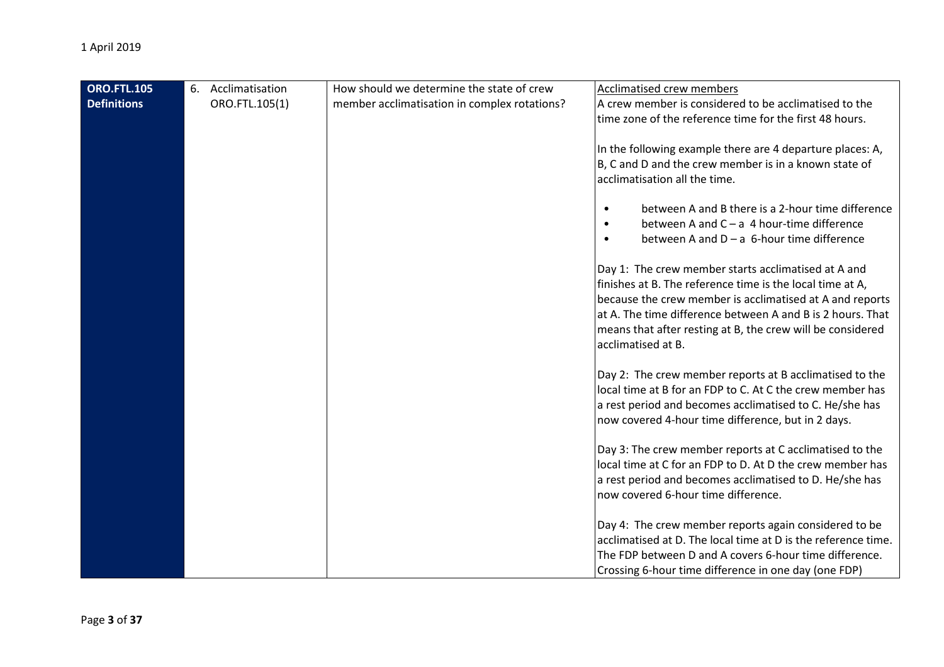| <b>ORO.FTL.105</b> | 6. | Acclimatisation | How should we determine the state of crew    | Acclimatised crew members                                      |
|--------------------|----|-----------------|----------------------------------------------|----------------------------------------------------------------|
| <b>Definitions</b> |    | ORO.FTL.105(1)  | member acclimatisation in complex rotations? | A crew member is considered to be acclimatised to the          |
|                    |    |                 |                                              | time zone of the reference time for the first 48 hours.        |
|                    |    |                 |                                              |                                                                |
|                    |    |                 |                                              | In the following example there are 4 departure places: A,      |
|                    |    |                 |                                              | B, C and D and the crew member is in a known state of          |
|                    |    |                 |                                              | acclimatisation all the time.                                  |
|                    |    |                 |                                              |                                                                |
|                    |    |                 |                                              | between A and B there is a 2-hour time difference<br>$\bullet$ |
|                    |    |                 |                                              | between A and $C - a$ 4 hour-time difference                   |
|                    |    |                 |                                              | between A and $D - a$ 6-hour time difference                   |
|                    |    |                 |                                              |                                                                |
|                    |    |                 |                                              | Day 1: The crew member starts acclimatised at A and            |
|                    |    |                 |                                              | finishes at B. The reference time is the local time at A,      |
|                    |    |                 |                                              | because the crew member is acclimatised at A and reports       |
|                    |    |                 |                                              | at A. The time difference between A and B is 2 hours. That     |
|                    |    |                 |                                              | means that after resting at B, the crew will be considered     |
|                    |    |                 |                                              | acclimatised at B.                                             |
|                    |    |                 |                                              |                                                                |
|                    |    |                 |                                              | Day 2: The crew member reports at B acclimatised to the        |
|                    |    |                 |                                              | local time at B for an FDP to C. At C the crew member has      |
|                    |    |                 |                                              | a rest period and becomes acclimatised to C. He/she has        |
|                    |    |                 |                                              | now covered 4-hour time difference, but in 2 days.             |
|                    |    |                 |                                              |                                                                |
|                    |    |                 |                                              | Day 3: The crew member reports at C acclimatised to the        |
|                    |    |                 |                                              | local time at C for an FDP to D. At D the crew member has      |
|                    |    |                 |                                              | a rest period and becomes acclimatised to D. He/she has        |
|                    |    |                 |                                              | now covered 6-hour time difference.                            |
|                    |    |                 |                                              |                                                                |
|                    |    |                 |                                              | Day 4: The crew member reports again considered to be          |
|                    |    |                 |                                              | acclimatised at D. The local time at D is the reference time.  |
|                    |    |                 |                                              | The FDP between D and A covers 6-hour time difference.         |
|                    |    |                 |                                              | Crossing 6-hour time difference in one day (one FDP)           |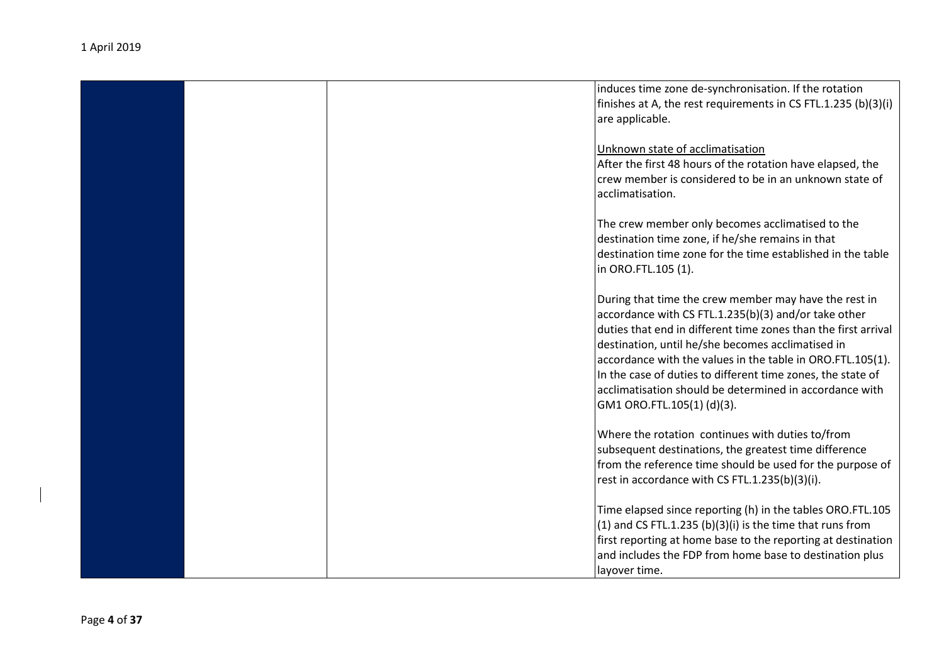|  | induces time zone de-synchronisation. If the rotation          |
|--|----------------------------------------------------------------|
|  | finishes at A, the rest requirements in CS FTL.1.235 (b)(3)(i) |
|  | are applicable.                                                |
|  |                                                                |
|  | Unknown state of acclimatisation                               |
|  | After the first 48 hours of the rotation have elapsed, the     |
|  | crew member is considered to be in an unknown state of         |
|  | acclimatisation.                                               |
|  |                                                                |
|  | The crew member only becomes acclimatised to the               |
|  | destination time zone, if he/she remains in that               |
|  | destination time zone for the time established in the table    |
|  | in ORO.FTL.105 (1).                                            |
|  |                                                                |
|  | During that time the crew member may have the rest in          |
|  |                                                                |
|  | accordance with CS FTL.1.235(b)(3) and/or take other           |
|  | duties that end in different time zones than the first arrival |
|  | destination, until he/she becomes acclimatised in              |
|  | accordance with the values in the table in ORO.FTL.105(1).     |
|  | In the case of duties to different time zones, the state of    |
|  | acclimatisation should be determined in accordance with        |
|  | GM1 ORO.FTL.105(1)(d)(3).                                      |
|  |                                                                |
|  | Where the rotation continues with duties to/from               |
|  | subsequent destinations, the greatest time difference          |
|  | from the reference time should be used for the purpose of      |
|  | rest in accordance with CS FTL.1.235(b)(3)(i).                 |
|  |                                                                |
|  | Time elapsed since reporting (h) in the tables ORO.FTL.105     |
|  | $(1)$ and CS FTL.1.235 $(b)(3)(i)$ is the time that runs from  |
|  |                                                                |
|  | first reporting at home base to the reporting at destination   |
|  | and includes the FDP from home base to destination plus        |
|  | layover time.                                                  |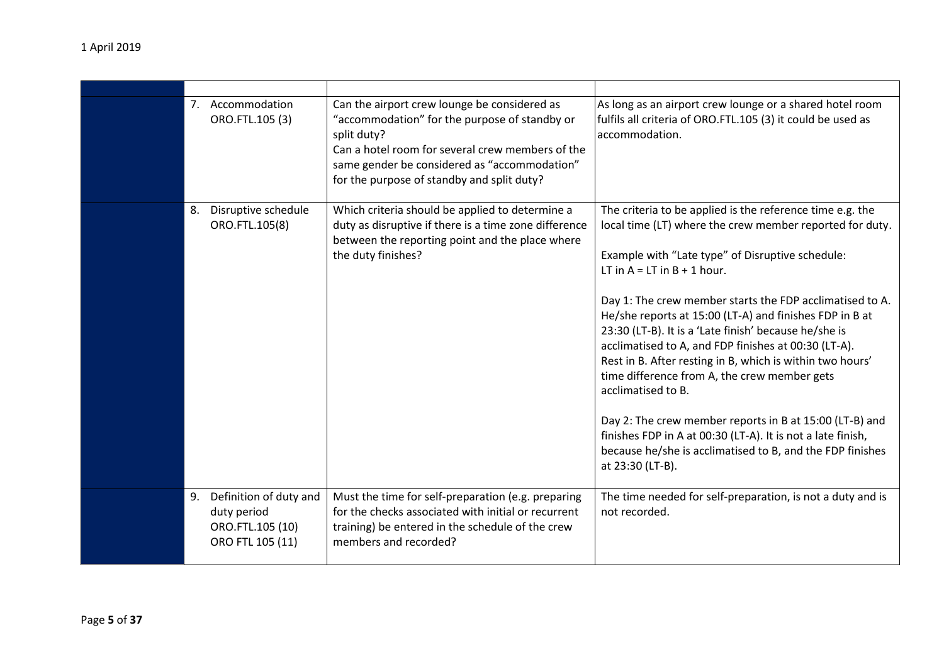|    | 7. Accommodation<br>ORO.FTL.105 (3)                                           | Can the airport crew lounge be considered as<br>"accommodation" for the purpose of standby or<br>split duty?<br>Can a hotel room for several crew members of the<br>same gender be considered as "accommodation"<br>for the purpose of standby and split duty? | As long as an airport crew lounge or a shared hotel room<br>fulfils all criteria of ORO.FTL.105 (3) it could be used as<br>accommodation.                                                                                                                                                                                                                                                                                                                                                                                                                                                                                                                                                                                                                                                          |
|----|-------------------------------------------------------------------------------|----------------------------------------------------------------------------------------------------------------------------------------------------------------------------------------------------------------------------------------------------------------|----------------------------------------------------------------------------------------------------------------------------------------------------------------------------------------------------------------------------------------------------------------------------------------------------------------------------------------------------------------------------------------------------------------------------------------------------------------------------------------------------------------------------------------------------------------------------------------------------------------------------------------------------------------------------------------------------------------------------------------------------------------------------------------------------|
| 8. | Disruptive schedule<br>ORO.FTL.105(8)                                         | Which criteria should be applied to determine a<br>duty as disruptive if there is a time zone difference<br>between the reporting point and the place where<br>the duty finishes?                                                                              | The criteria to be applied is the reference time e.g. the<br>local time (LT) where the crew member reported for duty.<br>Example with "Late type" of Disruptive schedule:<br>LT in $A = LT$ in $B + 1$ hour.<br>Day 1: The crew member starts the FDP acclimatised to A.<br>He/she reports at 15:00 (LT-A) and finishes FDP in B at<br>23:30 (LT-B). It is a 'Late finish' because he/she is<br>acclimatised to A, and FDP finishes at 00:30 (LT-A).<br>Rest in B. After resting in B, which is within two hours'<br>time difference from A, the crew member gets<br>acclimatised to B.<br>Day 2: The crew member reports in B at 15:00 (LT-B) and<br>finishes FDP in A at 00:30 (LT-A). It is not a late finish,<br>because he/she is acclimatised to B, and the FDP finishes<br>at 23:30 (LT-B). |
| 9. | Definition of duty and<br>duty period<br>ORO.FTL.105 (10)<br>ORO FTL 105 (11) | Must the time for self-preparation (e.g. preparing<br>for the checks associated with initial or recurrent<br>training) be entered in the schedule of the crew<br>members and recorded?                                                                         | The time needed for self-preparation, is not a duty and is<br>not recorded.                                                                                                                                                                                                                                                                                                                                                                                                                                                                                                                                                                                                                                                                                                                        |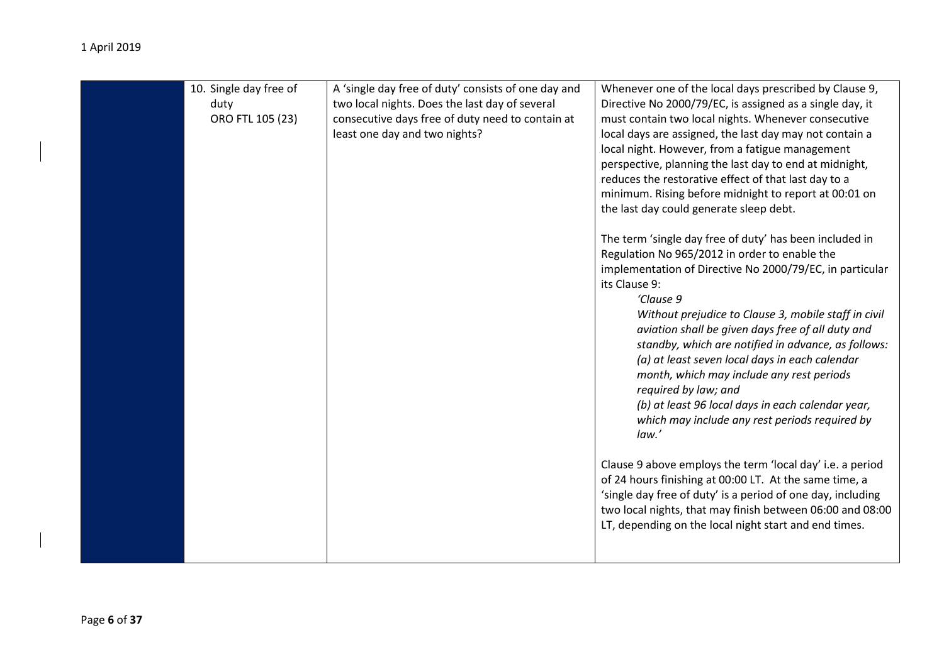| 10. Single day free of<br>duty<br>ORO FTL 105 (23) | A 'single day free of duty' consists of one day and<br>two local nights. Does the last day of several<br>consecutive days free of duty need to contain at<br>least one day and two nights? | Whenever one of the local days prescribed by Clause 9,<br>Directive No 2000/79/EC, is assigned as a single day, it<br>must contain two local nights. Whenever consecutive<br>local days are assigned, the last day may not contain a<br>local night. However, from a fatigue management<br>perspective, planning the last day to end at midnight,<br>reduces the restorative effect of that last day to a<br>minimum. Rising before midnight to report at 00:01 on<br>the last day could generate sleep debt.<br>The term 'single day free of duty' has been included in<br>Regulation No 965/2012 in order to enable the<br>implementation of Directive No 2000/79/EC, in particular<br>its Clause 9:<br>'Clause 9<br>Without prejudice to Clause 3, mobile staff in civil<br>aviation shall be given days free of all duty and<br>standby, which are notified in advance, as follows:<br>(a) at least seven local days in each calendar<br>month, which may include any rest periods<br>required by law; and<br>(b) at least 96 local days in each calendar year,<br>which may include any rest periods required by<br>law.'<br>Clause 9 above employs the term 'local day' i.e. a period<br>of 24 hours finishing at 00:00 LT. At the same time, a<br>'single day free of duty' is a period of one day, including<br>two local nights, that may finish between 06:00 and 08:00<br>LT, depending on the local night start and end times. |
|----------------------------------------------------|--------------------------------------------------------------------------------------------------------------------------------------------------------------------------------------------|--------------------------------------------------------------------------------------------------------------------------------------------------------------------------------------------------------------------------------------------------------------------------------------------------------------------------------------------------------------------------------------------------------------------------------------------------------------------------------------------------------------------------------------------------------------------------------------------------------------------------------------------------------------------------------------------------------------------------------------------------------------------------------------------------------------------------------------------------------------------------------------------------------------------------------------------------------------------------------------------------------------------------------------------------------------------------------------------------------------------------------------------------------------------------------------------------------------------------------------------------------------------------------------------------------------------------------------------------------------------------------------------------------------------------------------------|
|----------------------------------------------------|--------------------------------------------------------------------------------------------------------------------------------------------------------------------------------------------|--------------------------------------------------------------------------------------------------------------------------------------------------------------------------------------------------------------------------------------------------------------------------------------------------------------------------------------------------------------------------------------------------------------------------------------------------------------------------------------------------------------------------------------------------------------------------------------------------------------------------------------------------------------------------------------------------------------------------------------------------------------------------------------------------------------------------------------------------------------------------------------------------------------------------------------------------------------------------------------------------------------------------------------------------------------------------------------------------------------------------------------------------------------------------------------------------------------------------------------------------------------------------------------------------------------------------------------------------------------------------------------------------------------------------------------------|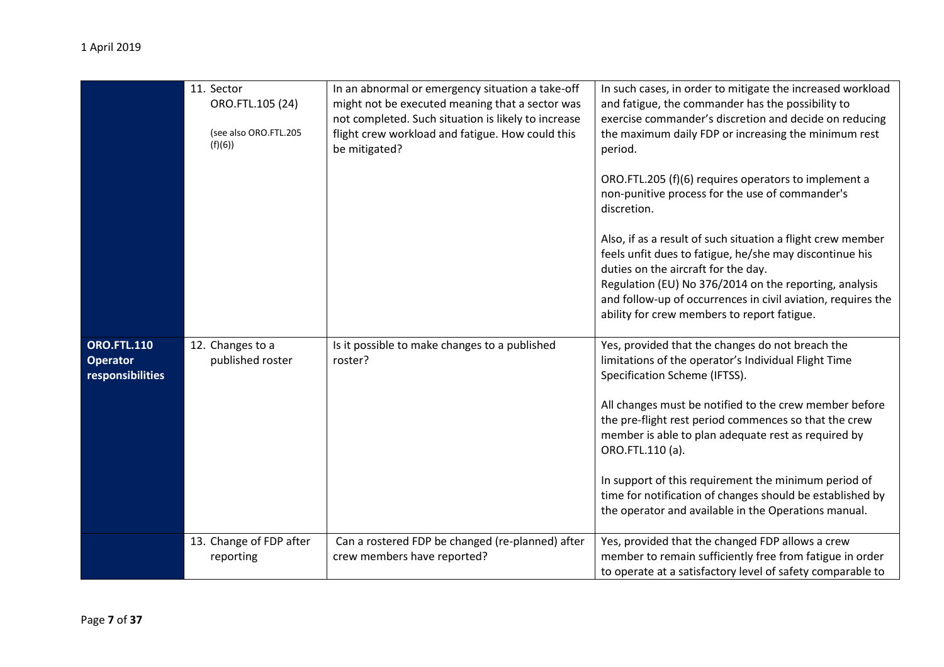|                                                           | 11. Sector<br>ORO.FTL.105 (24)<br>(see also ORO.FTL.205<br>(f)(6) | In an abnormal or emergency situation a take-off<br>might not be executed meaning that a sector was<br>not completed. Such situation is likely to increase<br>flight crew workload and fatigue. How could this<br>be mitigated? | In such cases, in order to mitigate the increased workload<br>and fatigue, the commander has the possibility to<br>exercise commander's discretion and decide on reducing<br>the maximum daily FDP or increasing the minimum rest<br>period.<br>ORO.FTL.205 (f)(6) requires operators to implement a<br>non-punitive process for the use of commander's<br>discretion.<br>Also, if as a result of such situation a flight crew member<br>feels unfit dues to fatigue, he/she may discontinue his<br>duties on the aircraft for the day.<br>Regulation (EU) No 376/2014 on the reporting, analysis<br>and follow-up of occurrences in civil aviation, requires the<br>ability for crew members to report fatigue. |
|-----------------------------------------------------------|-------------------------------------------------------------------|---------------------------------------------------------------------------------------------------------------------------------------------------------------------------------------------------------------------------------|------------------------------------------------------------------------------------------------------------------------------------------------------------------------------------------------------------------------------------------------------------------------------------------------------------------------------------------------------------------------------------------------------------------------------------------------------------------------------------------------------------------------------------------------------------------------------------------------------------------------------------------------------------------------------------------------------------------|
| <b>ORO.FTL.110</b><br><b>Operator</b><br>responsibilities | 12. Changes to a<br>published roster                              | Is it possible to make changes to a published<br>roster?                                                                                                                                                                        | Yes, provided that the changes do not breach the<br>limitations of the operator's Individual Flight Time<br>Specification Scheme (IFTSS).<br>All changes must be notified to the crew member before<br>the pre-flight rest period commences so that the crew<br>member is able to plan adequate rest as required by<br>ORO.FTL.110 (a).<br>In support of this requirement the minimum period of<br>time for notification of changes should be established by<br>the operator and available in the Operations manual.                                                                                                                                                                                             |
|                                                           | 13. Change of FDP after<br>reporting                              | Can a rostered FDP be changed (re-planned) after<br>crew members have reported?                                                                                                                                                 | Yes, provided that the changed FDP allows a crew<br>member to remain sufficiently free from fatigue in order<br>to operate at a satisfactory level of safety comparable to                                                                                                                                                                                                                                                                                                                                                                                                                                                                                                                                       |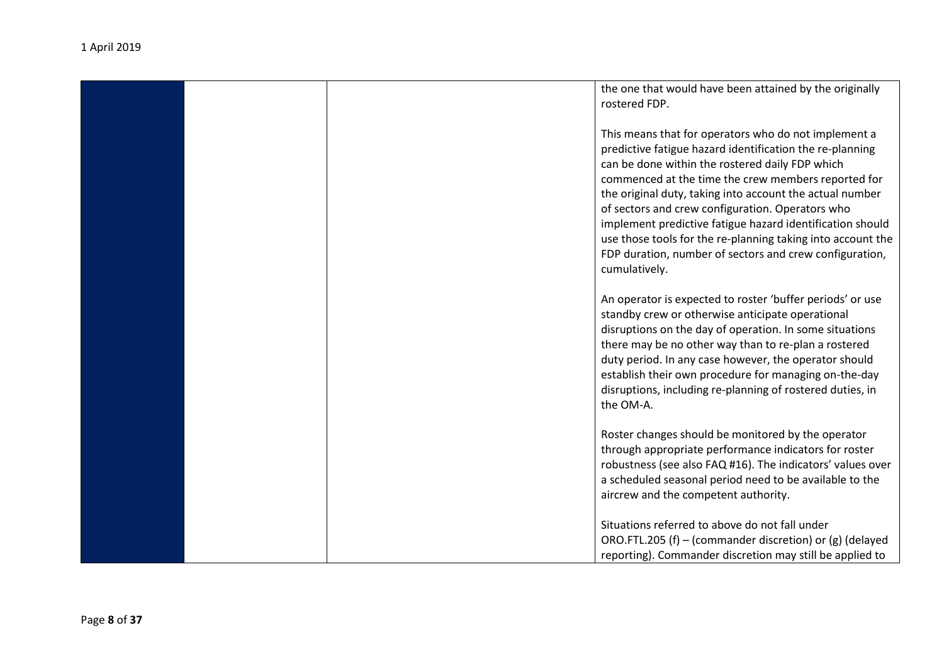|  | the one that would have been attained by the originally<br>rostered FDP.                                                                                                                                                                                                                                                                                                                                                                                                                                                                           |
|--|----------------------------------------------------------------------------------------------------------------------------------------------------------------------------------------------------------------------------------------------------------------------------------------------------------------------------------------------------------------------------------------------------------------------------------------------------------------------------------------------------------------------------------------------------|
|  | This means that for operators who do not implement a<br>predictive fatigue hazard identification the re-planning<br>can be done within the rostered daily FDP which<br>commenced at the time the crew members reported for<br>the original duty, taking into account the actual number<br>of sectors and crew configuration. Operators who<br>implement predictive fatigue hazard identification should<br>use those tools for the re-planning taking into account the<br>FDP duration, number of sectors and crew configuration,<br>cumulatively. |
|  | An operator is expected to roster 'buffer periods' or use<br>standby crew or otherwise anticipate operational<br>disruptions on the day of operation. In some situations<br>there may be no other way than to re-plan a rostered<br>duty period. In any case however, the operator should<br>establish their own procedure for managing on-the-day<br>disruptions, including re-planning of rostered duties, in<br>the OM-A.                                                                                                                       |
|  | Roster changes should be monitored by the operator<br>through appropriate performance indicators for roster<br>robustness (see also FAQ #16). The indicators' values over<br>a scheduled seasonal period need to be available to the<br>aircrew and the competent authority.                                                                                                                                                                                                                                                                       |
|  | Situations referred to above do not fall under<br>ORO.FTL.205 (f) - (commander discretion) or (g) (delayed<br>reporting). Commander discretion may still be applied to                                                                                                                                                                                                                                                                                                                                                                             |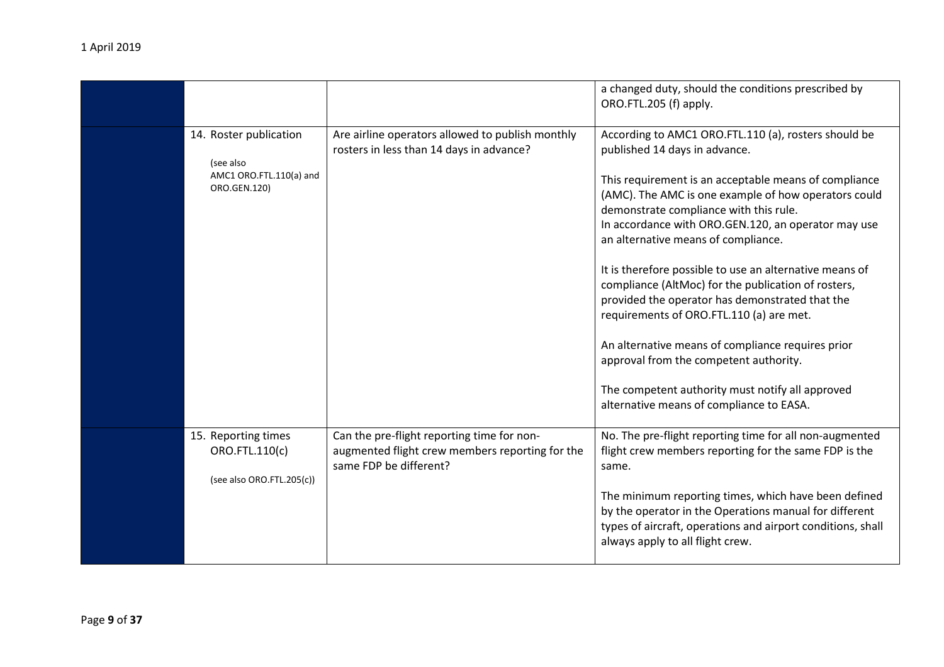|                                                                                |                                                                                                                         | a changed duty, should the conditions prescribed by<br>ORO.FTL.205 (f) apply.                                                                                                                                                                                                                                                                                                                                                                                                                                                                                                                                                                                                                                                                                  |
|--------------------------------------------------------------------------------|-------------------------------------------------------------------------------------------------------------------------|----------------------------------------------------------------------------------------------------------------------------------------------------------------------------------------------------------------------------------------------------------------------------------------------------------------------------------------------------------------------------------------------------------------------------------------------------------------------------------------------------------------------------------------------------------------------------------------------------------------------------------------------------------------------------------------------------------------------------------------------------------------|
| 14. Roster publication<br>(see also<br>AMC1 ORO.FTL.110(a) and<br>ORO.GEN.120) | Are airline operators allowed to publish monthly<br>rosters in less than 14 days in advance?                            | According to AMC1 ORO.FTL.110 (a), rosters should be<br>published 14 days in advance.<br>This requirement is an acceptable means of compliance<br>(AMC). The AMC is one example of how operators could<br>demonstrate compliance with this rule.<br>In accordance with ORO.GEN.120, an operator may use<br>an alternative means of compliance.<br>It is therefore possible to use an alternative means of<br>compliance (AltMoc) for the publication of rosters,<br>provided the operator has demonstrated that the<br>requirements of ORO.FTL.110 (a) are met.<br>An alternative means of compliance requires prior<br>approval from the competent authority.<br>The competent authority must notify all approved<br>alternative means of compliance to EASA. |
| 15. Reporting times<br>ORO.FTL.110(c)<br>(see also ORO.FTL.205(c))             | Can the pre-flight reporting time for non-<br>augmented flight crew members reporting for the<br>same FDP be different? | No. The pre-flight reporting time for all non-augmented<br>flight crew members reporting for the same FDP is the<br>same.<br>The minimum reporting times, which have been defined<br>by the operator in the Operations manual for different<br>types of aircraft, operations and airport conditions, shall<br>always apply to all flight crew.                                                                                                                                                                                                                                                                                                                                                                                                                 |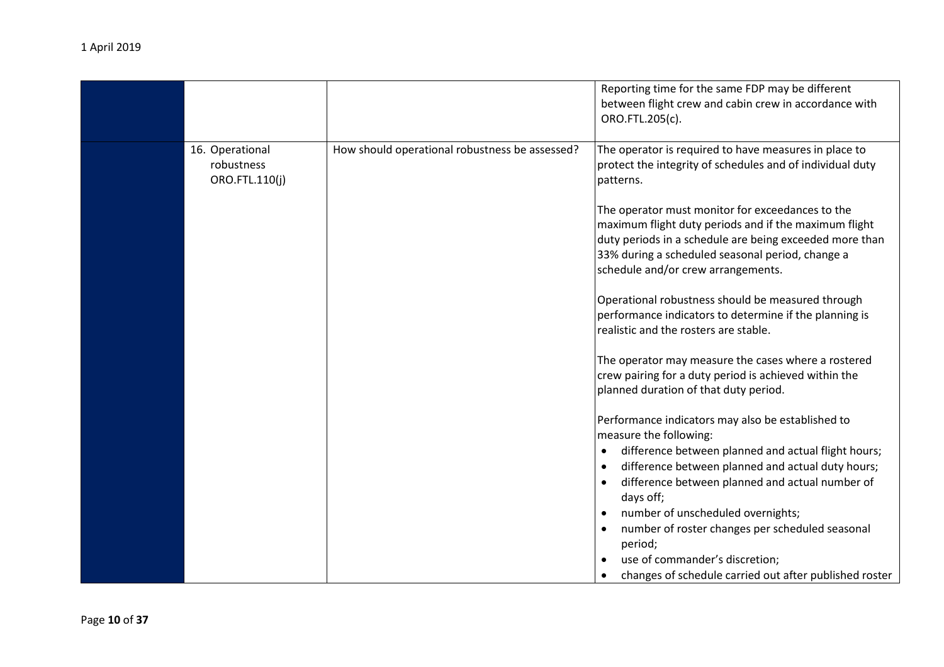|                                                 |                                                | Reporting time for the same FDP may be different<br>between flight crew and cabin crew in accordance with<br>ORO.FTL.205(c).                                                                                                                                   |
|-------------------------------------------------|------------------------------------------------|----------------------------------------------------------------------------------------------------------------------------------------------------------------------------------------------------------------------------------------------------------------|
| 16. Operational<br>robustness<br>ORO.FTL.110(j) | How should operational robustness be assessed? | The operator is required to have measures in place to<br>protect the integrity of schedules and of individual duty<br>patterns.                                                                                                                                |
|                                                 |                                                | The operator must monitor for exceedances to the<br>maximum flight duty periods and if the maximum flight<br>duty periods in a schedule are being exceeded more than<br>33% during a scheduled seasonal period, change a<br>schedule and/or crew arrangements. |
|                                                 |                                                | Operational robustness should be measured through<br>performance indicators to determine if the planning is<br>realistic and the rosters are stable.                                                                                                           |
|                                                 |                                                | The operator may measure the cases where a rostered<br>crew pairing for a duty period is achieved within the<br>planned duration of that duty period.                                                                                                          |
|                                                 |                                                | Performance indicators may also be established to<br>measure the following:                                                                                                                                                                                    |
|                                                 |                                                | difference between planned and actual flight hours;<br>difference between planned and actual duty hours;<br>$\bullet$<br>difference between planned and actual number of<br>days off;                                                                          |
|                                                 |                                                | number of unscheduled overnights;<br>number of roster changes per scheduled seasonal<br>period;<br>use of commander's discretion;                                                                                                                              |
|                                                 |                                                | changes of schedule carried out after published roster                                                                                                                                                                                                         |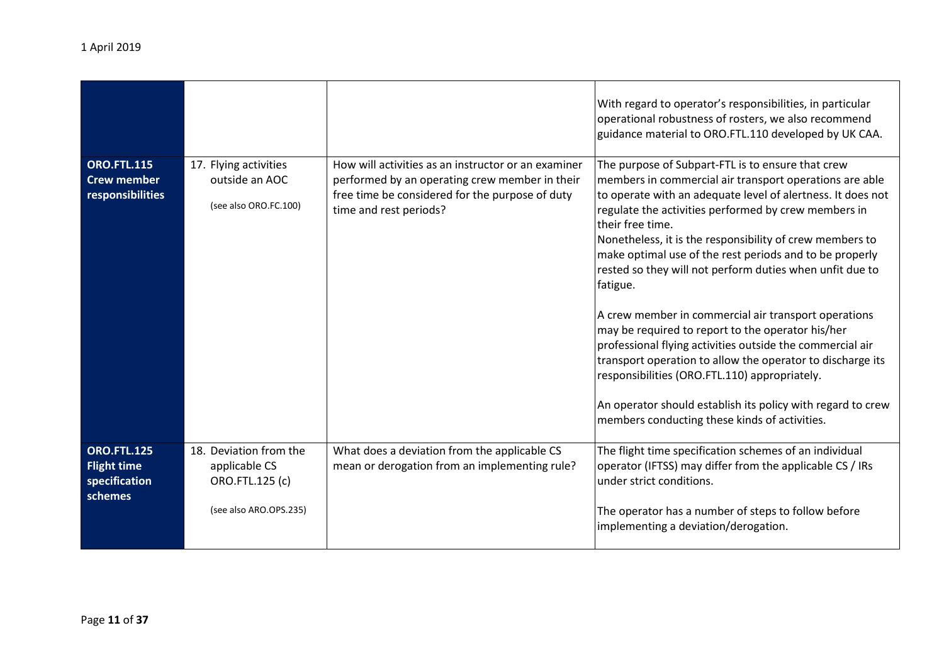|                                                                      |                                                                                      |                                                                                                                                                                                    | With regard to operator's responsibilities, in particular<br>operational robustness of rosters, we also recommend<br>guidance material to ORO.FTL.110 developed by UK CAA.                                                                                                                                                                                                                                                                             |
|----------------------------------------------------------------------|--------------------------------------------------------------------------------------|------------------------------------------------------------------------------------------------------------------------------------------------------------------------------------|--------------------------------------------------------------------------------------------------------------------------------------------------------------------------------------------------------------------------------------------------------------------------------------------------------------------------------------------------------------------------------------------------------------------------------------------------------|
| <b>ORO.FTL.115</b><br><b>Crew member</b><br>responsibilities         | 17. Flying activities<br>outside an AOC<br>(see also ORO.FC.100)                     | How will activities as an instructor or an examiner<br>performed by an operating crew member in their<br>free time be considered for the purpose of duty<br>time and rest periods? | The purpose of Subpart-FTL is to ensure that crew<br>members in commercial air transport operations are able<br>to operate with an adequate level of alertness. It does not<br>regulate the activities performed by crew members in<br>their free time.<br>Nonetheless, it is the responsibility of crew members to<br>make optimal use of the rest periods and to be properly<br>rested so they will not perform duties when unfit due to<br>fatigue. |
|                                                                      |                                                                                      |                                                                                                                                                                                    | A crew member in commercial air transport operations<br>may be required to report to the operator his/her<br>professional flying activities outside the commercial air<br>transport operation to allow the operator to discharge its<br>responsibilities (ORO.FTL.110) appropriately.<br>An operator should establish its policy with regard to crew<br>members conducting these kinds of activities.                                                  |
| <b>ORO.FTL.125</b><br><b>Flight time</b><br>specification<br>schemes | 18. Deviation from the<br>applicable CS<br>ORO.FTL.125 (c)<br>(see also ARO.OPS.235) | What does a deviation from the applicable CS<br>mean or derogation from an implementing rule?                                                                                      | The flight time specification schemes of an individual<br>operator (IFTSS) may differ from the applicable CS / IRs<br>under strict conditions.<br>The operator has a number of steps to follow before<br>implementing a deviation/derogation.                                                                                                                                                                                                          |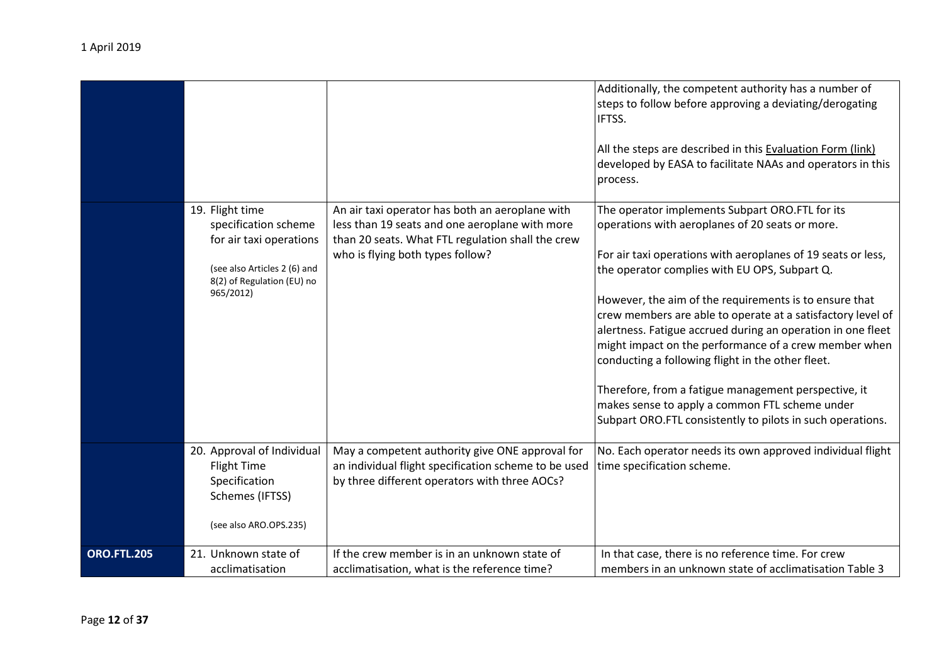|                    | 19. Flight time                                                                                                            | An air taxi operator has both an aeroplane with                                                                                                          | Additionally, the competent authority has a number of<br>steps to follow before approving a deviating/derogating<br>IFTSS.<br>All the steps are described in this Evaluation Form (link)<br>developed by EASA to facilitate NAAs and operators in this<br>process.<br>The operator implements Subpart ORO.FTL for its                                                                                                                                                                                                                                                                                                                          |
|--------------------|----------------------------------------------------------------------------------------------------------------------------|----------------------------------------------------------------------------------------------------------------------------------------------------------|------------------------------------------------------------------------------------------------------------------------------------------------------------------------------------------------------------------------------------------------------------------------------------------------------------------------------------------------------------------------------------------------------------------------------------------------------------------------------------------------------------------------------------------------------------------------------------------------------------------------------------------------|
|                    | specification scheme<br>for air taxi operations<br>(see also Articles 2 (6) and<br>8(2) of Regulation (EU) no<br>965/2012) | less than 19 seats and one aeroplane with more<br>than 20 seats. What FTL regulation shall the crew<br>who is flying both types follow?                  | operations with aeroplanes of 20 seats or more.<br>For air taxi operations with aeroplanes of 19 seats or less,<br>the operator complies with EU OPS, Subpart Q.<br>However, the aim of the requirements is to ensure that<br>crew members are able to operate at a satisfactory level of<br>alertness. Fatigue accrued during an operation in one fleet<br>might impact on the performance of a crew member when<br>conducting a following flight in the other fleet.<br>Therefore, from a fatigue management perspective, it<br>makes sense to apply a common FTL scheme under<br>Subpart ORO.FTL consistently to pilots in such operations. |
|                    | 20. Approval of Individual<br><b>Flight Time</b><br>Specification<br>Schemes (IFTSS)<br>(see also ARO.OPS.235)             | May a competent authority give ONE approval for<br>an individual flight specification scheme to be used<br>by three different operators with three AOCs? | No. Each operator needs its own approved individual flight<br>time specification scheme.                                                                                                                                                                                                                                                                                                                                                                                                                                                                                                                                                       |
| <b>ORO.FTL.205</b> | 21. Unknown state of<br>acclimatisation                                                                                    | If the crew member is in an unknown state of<br>acclimatisation, what is the reference time?                                                             | In that case, there is no reference time. For crew<br>members in an unknown state of acclimatisation Table 3                                                                                                                                                                                                                                                                                                                                                                                                                                                                                                                                   |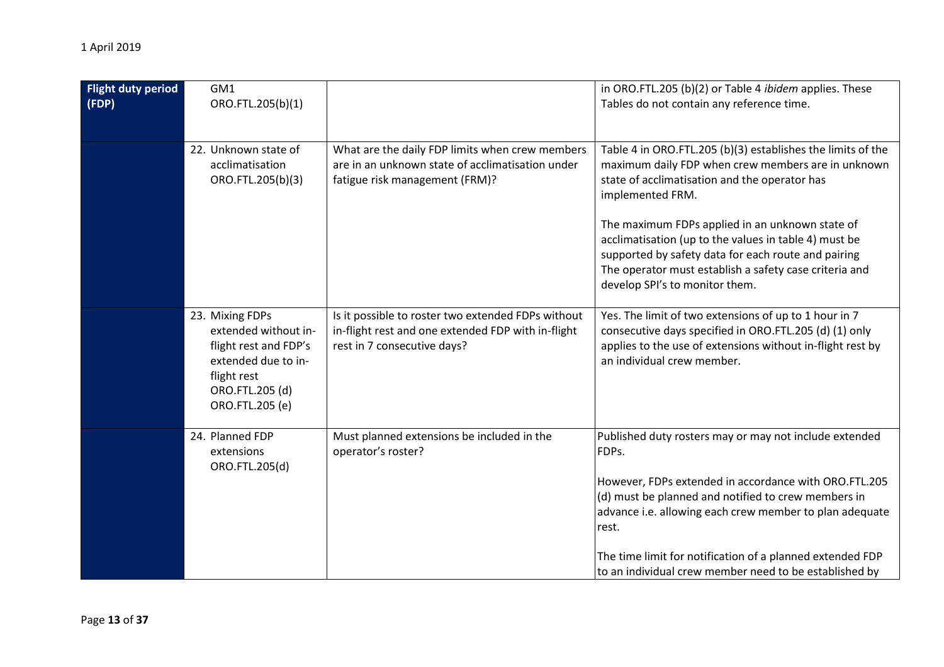| <b>Flight duty period</b><br>(FDP) | GM1<br>ORO.FTL.205(b)(1)                                                                                                                     |                                                                                                                                         | in ORO.FTL.205 (b)(2) or Table 4 <i>ibidem</i> applies. These<br>Tables do not contain any reference time.                                                                                                                                                                                                                                                                                                                                            |
|------------------------------------|----------------------------------------------------------------------------------------------------------------------------------------------|-----------------------------------------------------------------------------------------------------------------------------------------|-------------------------------------------------------------------------------------------------------------------------------------------------------------------------------------------------------------------------------------------------------------------------------------------------------------------------------------------------------------------------------------------------------------------------------------------------------|
|                                    | 22. Unknown state of<br>acclimatisation<br>ORO.FTL.205(b)(3)                                                                                 | What are the daily FDP limits when crew members<br>are in an unknown state of acclimatisation under<br>fatigue risk management (FRM)?   | Table 4 in ORO.FTL.205 (b)(3) establishes the limits of the<br>maximum daily FDP when crew members are in unknown<br>state of acclimatisation and the operator has<br>implemented FRM.<br>The maximum FDPs applied in an unknown state of<br>acclimatisation (up to the values in table 4) must be<br>supported by safety data for each route and pairing<br>The operator must establish a safety case criteria and<br>develop SPI's to monitor them. |
|                                    | 23. Mixing FDPs<br>extended without in-<br>flight rest and FDP's<br>extended due to in-<br>flight rest<br>ORO.FTL.205 (d)<br>ORO.FTL.205 (e) | Is it possible to roster two extended FDPs without<br>in-flight rest and one extended FDP with in-flight<br>rest in 7 consecutive days? | Yes. The limit of two extensions of up to 1 hour in 7<br>consecutive days specified in ORO.FTL.205 (d) (1) only<br>applies to the use of extensions without in-flight rest by<br>an individual crew member.                                                                                                                                                                                                                                           |
|                                    | 24. Planned FDP<br>extensions<br>ORO.FTL.205(d)                                                                                              | Must planned extensions be included in the<br>operator's roster?                                                                        | Published duty rosters may or may not include extended<br>FDPs.<br>However, FDPs extended in accordance with ORO.FTL.205<br>(d) must be planned and notified to crew members in<br>advance i.e. allowing each crew member to plan adequate<br>rest.<br>The time limit for notification of a planned extended FDP<br>to an individual crew member need to be established by                                                                            |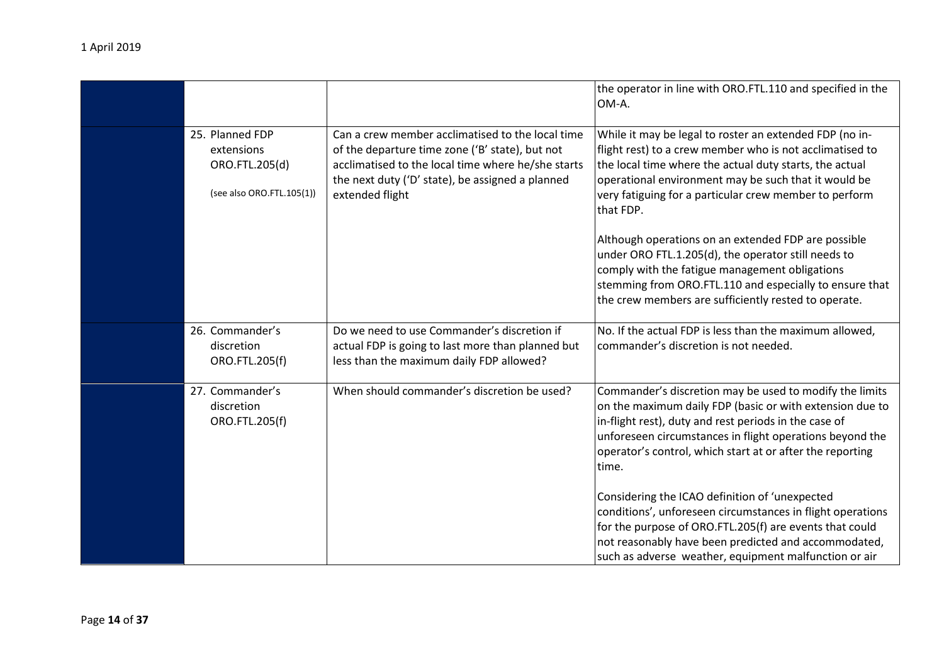|                                                                              |                                                                                                                                                                                                                                  | the operator in line with ORO.FTL.110 and specified in the<br>OM-A.                                                                                                                                                                                                                                                                                                                                                                                                                                                                                                                              |
|------------------------------------------------------------------------------|----------------------------------------------------------------------------------------------------------------------------------------------------------------------------------------------------------------------------------|--------------------------------------------------------------------------------------------------------------------------------------------------------------------------------------------------------------------------------------------------------------------------------------------------------------------------------------------------------------------------------------------------------------------------------------------------------------------------------------------------------------------------------------------------------------------------------------------------|
| 25. Planned FDP<br>extensions<br>ORO.FTL.205(d)<br>(see also ORO.FTL.105(1)) | Can a crew member acclimatised to the local time<br>of the departure time zone ('B' state), but not<br>acclimatised to the local time where he/she starts<br>the next duty ('D' state), be assigned a planned<br>extended flight | While it may be legal to roster an extended FDP (no in-<br>flight rest) to a crew member who is not acclimatised to<br>the local time where the actual duty starts, the actual<br>operational environment may be such that it would be<br>very fatiguing for a particular crew member to perform<br>that FDP.<br>Although operations on an extended FDP are possible<br>under ORO FTL.1.205(d), the operator still needs to<br>comply with the fatigue management obligations<br>stemming from ORO.FTL.110 and especially to ensure that<br>the crew members are sufficiently rested to operate. |
| 26. Commander's<br>discretion<br>ORO.FTL.205(f)                              | Do we need to use Commander's discretion if<br>actual FDP is going to last more than planned but<br>less than the maximum daily FDP allowed?                                                                                     | No. If the actual FDP is less than the maximum allowed,<br>commander's discretion is not needed.                                                                                                                                                                                                                                                                                                                                                                                                                                                                                                 |
| 27. Commander's<br>discretion<br>ORO.FTL.205(f)                              | When should commander's discretion be used?                                                                                                                                                                                      | Commander's discretion may be used to modify the limits<br>on the maximum daily FDP (basic or with extension due to<br>in-flight rest), duty and rest periods in the case of<br>unforeseen circumstances in flight operations beyond the<br>operator's control, which start at or after the reporting<br>time.                                                                                                                                                                                                                                                                                   |
|                                                                              |                                                                                                                                                                                                                                  | Considering the ICAO definition of 'unexpected<br>conditions', unforeseen circumstances in flight operations<br>for the purpose of ORO.FTL.205(f) are events that could<br>not reasonably have been predicted and accommodated,<br>such as adverse weather, equipment malfunction or air                                                                                                                                                                                                                                                                                                         |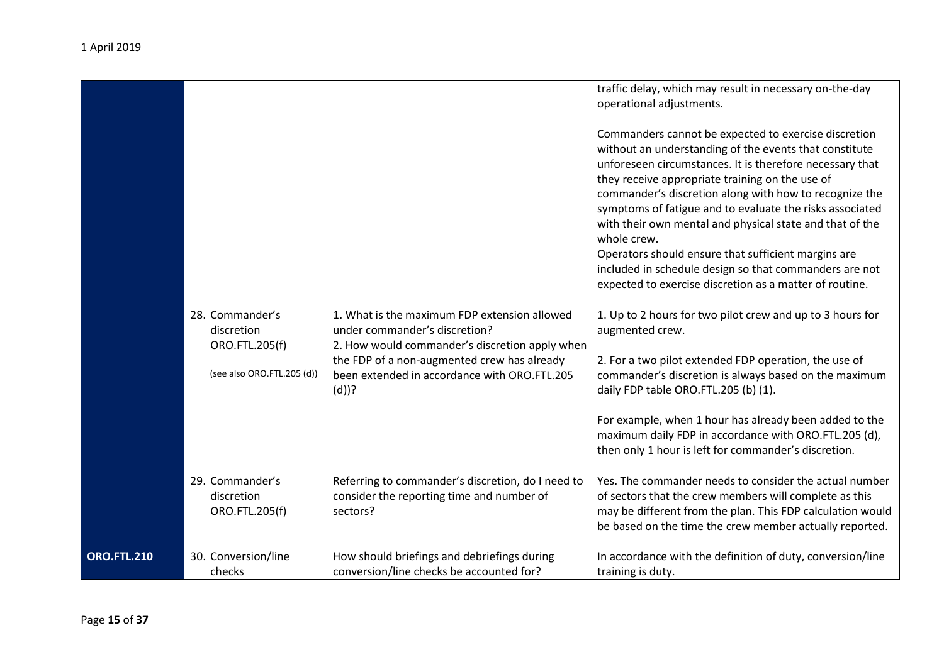|                    |                                                                               |                                                                                                                                                                                                                                           | traffic delay, which may result in necessary on-the-day<br>operational adjustments.<br>Commanders cannot be expected to exercise discretion<br>without an understanding of the events that constitute<br>unforeseen circumstances. It is therefore necessary that<br>they receive appropriate training on the use of<br>commander's discretion along with how to recognize the<br>symptoms of fatigue and to evaluate the risks associated<br>with their own mental and physical state and that of the<br>whole crew.<br>Operators should ensure that sufficient margins are<br>included in schedule design so that commanders are not<br>expected to exercise discretion as a matter of routine. |
|--------------------|-------------------------------------------------------------------------------|-------------------------------------------------------------------------------------------------------------------------------------------------------------------------------------------------------------------------------------------|---------------------------------------------------------------------------------------------------------------------------------------------------------------------------------------------------------------------------------------------------------------------------------------------------------------------------------------------------------------------------------------------------------------------------------------------------------------------------------------------------------------------------------------------------------------------------------------------------------------------------------------------------------------------------------------------------|
|                    | 28. Commander's<br>discretion<br>ORO.FTL.205(f)<br>(see also ORO.FTL.205 (d)) | 1. What is the maximum FDP extension allowed<br>under commander's discretion?<br>2. How would commander's discretion apply when<br>the FDP of a non-augmented crew has already<br>been extended in accordance with ORO.FTL.205<br>$(d)$ ? | 1. Up to 2 hours for two pilot crew and up to 3 hours for<br>augmented crew.<br>2. For a two pilot extended FDP operation, the use of<br>commander's discretion is always based on the maximum<br>daily FDP table ORO.FTL.205 (b) (1).<br>For example, when 1 hour has already been added to the<br>maximum daily FDP in accordance with ORO.FTL.205 (d),<br>then only 1 hour is left for commander's discretion.                                                                                                                                                                                                                                                                                 |
|                    | 29. Commander's<br>discretion<br>ORO.FTL.205(f)                               | Referring to commander's discretion, do I need to<br>consider the reporting time and number of<br>sectors?                                                                                                                                | Yes. The commander needs to consider the actual number<br>of sectors that the crew members will complete as this<br>may be different from the plan. This FDP calculation would<br>be based on the time the crew member actually reported.                                                                                                                                                                                                                                                                                                                                                                                                                                                         |
| <b>ORO.FTL.210</b> | 30. Conversion/line<br>checks                                                 | How should briefings and debriefings during<br>conversion/line checks be accounted for?                                                                                                                                                   | In accordance with the definition of duty, conversion/line<br>training is duty.                                                                                                                                                                                                                                                                                                                                                                                                                                                                                                                                                                                                                   |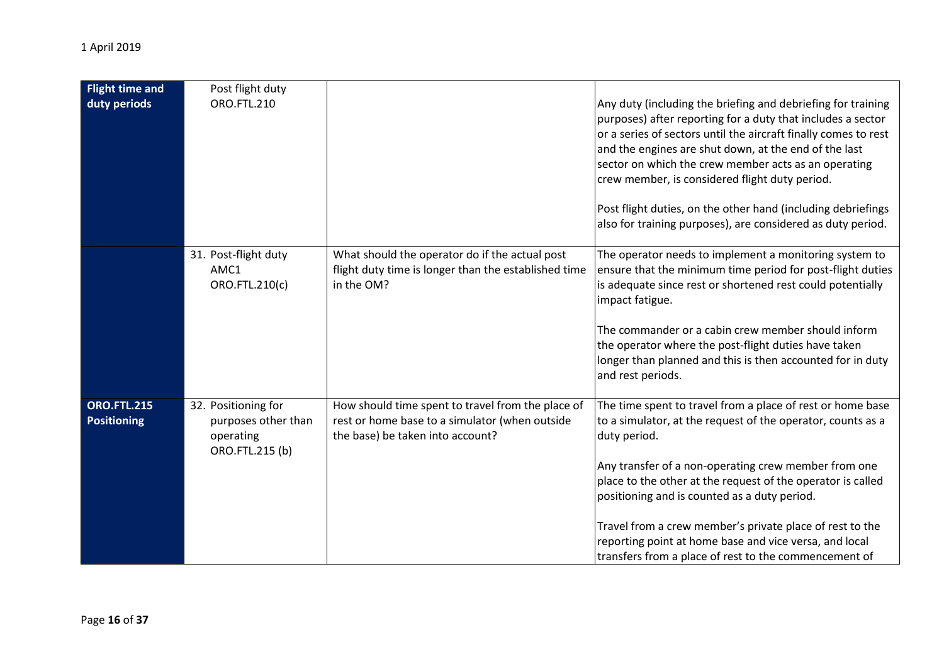| <b>Flight time and</b><br>duty periods   | Post flight duty<br><b>ORO.FTL.210</b>                                     |                                                                                                                                         | Any duty (including the briefing and debriefing for training<br>purposes) after reporting for a duty that includes a sector<br>or a series of sectors until the aircraft finally comes to rest<br>and the engines are shut down, at the end of the last<br>sector on which the crew member acts as an operating<br>crew member, is considered flight duty period.<br>Post flight duties, on the other hand (including debriefings<br>also for training purposes), are considered as duty period. |
|------------------------------------------|----------------------------------------------------------------------------|-----------------------------------------------------------------------------------------------------------------------------------------|--------------------------------------------------------------------------------------------------------------------------------------------------------------------------------------------------------------------------------------------------------------------------------------------------------------------------------------------------------------------------------------------------------------------------------------------------------------------------------------------------|
|                                          | 31. Post-flight duty<br>AMC1<br>ORO.FTL.210(c)                             | What should the operator do if the actual post<br>flight duty time is longer than the established time<br>in the OM?                    | The operator needs to implement a monitoring system to<br>ensure that the minimum time period for post-flight duties<br>is adequate since rest or shortened rest could potentially<br>impact fatigue.<br>The commander or a cabin crew member should inform<br>the operator where the post-flight duties have taken<br>longer than planned and this is then accounted for in duty<br>and rest periods.                                                                                           |
| <b>ORO.FTL.215</b><br><b>Positioning</b> | 32. Positioning for<br>purposes other than<br>operating<br>ORO.FTL.215 (b) | How should time spent to travel from the place of<br>rest or home base to a simulator (when outside<br>the base) be taken into account? | The time spent to travel from a place of rest or home base<br>to a simulator, at the request of the operator, counts as a<br>duty period.<br>Any transfer of a non-operating crew member from one<br>place to the other at the request of the operator is called<br>positioning and is counted as a duty period.<br>Travel from a crew member's private place of rest to the<br>reporting point at home base and vice versa, and local<br>transfers from a place of rest to the commencement of  |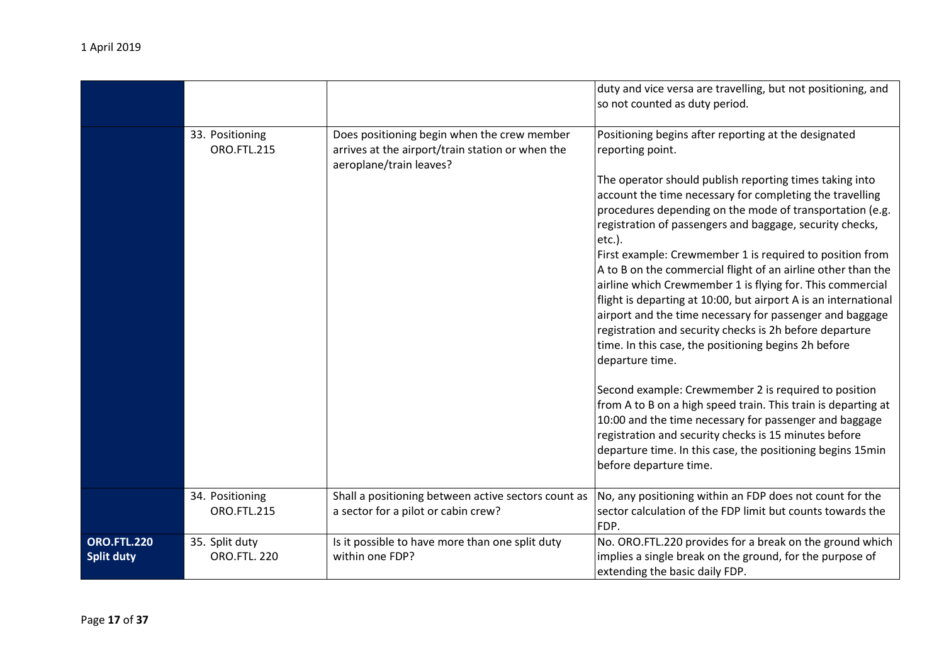|                                         |                                       |                                                                                                                            | duty and vice versa are travelling, but not positioning, and<br>so not counted as duty period.                                                                                                                                                                                                                                                                                                                                                                                                                                                                                                                                                                                                                                                                               |
|-----------------------------------------|---------------------------------------|----------------------------------------------------------------------------------------------------------------------------|------------------------------------------------------------------------------------------------------------------------------------------------------------------------------------------------------------------------------------------------------------------------------------------------------------------------------------------------------------------------------------------------------------------------------------------------------------------------------------------------------------------------------------------------------------------------------------------------------------------------------------------------------------------------------------------------------------------------------------------------------------------------------|
|                                         | 33. Positioning<br><b>ORO.FTL.215</b> | Does positioning begin when the crew member<br>arrives at the airport/train station or when the<br>aeroplane/train leaves? | Positioning begins after reporting at the designated<br>reporting point.<br>The operator should publish reporting times taking into<br>account the time necessary for completing the travelling<br>procedures depending on the mode of transportation (e.g.<br>registration of passengers and baggage, security checks,<br>etc.).<br>First example: Crewmember 1 is required to position from<br>A to B on the commercial flight of an airline other than the<br>airline which Crewmember 1 is flying for. This commercial<br>flight is departing at 10:00, but airport A is an international<br>airport and the time necessary for passenger and baggage<br>registration and security checks is 2h before departure<br>time. In this case, the positioning begins 2h before |
|                                         |                                       |                                                                                                                            | departure time.<br>Second example: Crewmember 2 is required to position<br>from A to B on a high speed train. This train is departing at<br>10:00 and the time necessary for passenger and baggage<br>registration and security checks is 15 minutes before<br>departure time. In this case, the positioning begins 15min<br>before departure time.                                                                                                                                                                                                                                                                                                                                                                                                                          |
|                                         | 34. Positioning<br><b>ORO.FTL.215</b> | Shall a positioning between active sectors count as<br>a sector for a pilot or cabin crew?                                 | No, any positioning within an FDP does not count for the<br>sector calculation of the FDP limit but counts towards the<br>FDP.                                                                                                                                                                                                                                                                                                                                                                                                                                                                                                                                                                                                                                               |
| <b>ORO.FTL.220</b><br><b>Split duty</b> | 35. Split duty<br><b>ORO.FTL. 220</b> | Is it possible to have more than one split duty<br>within one FDP?                                                         | No. ORO.FTL.220 provides for a break on the ground which<br>implies a single break on the ground, for the purpose of<br>extending the basic daily FDP.                                                                                                                                                                                                                                                                                                                                                                                                                                                                                                                                                                                                                       |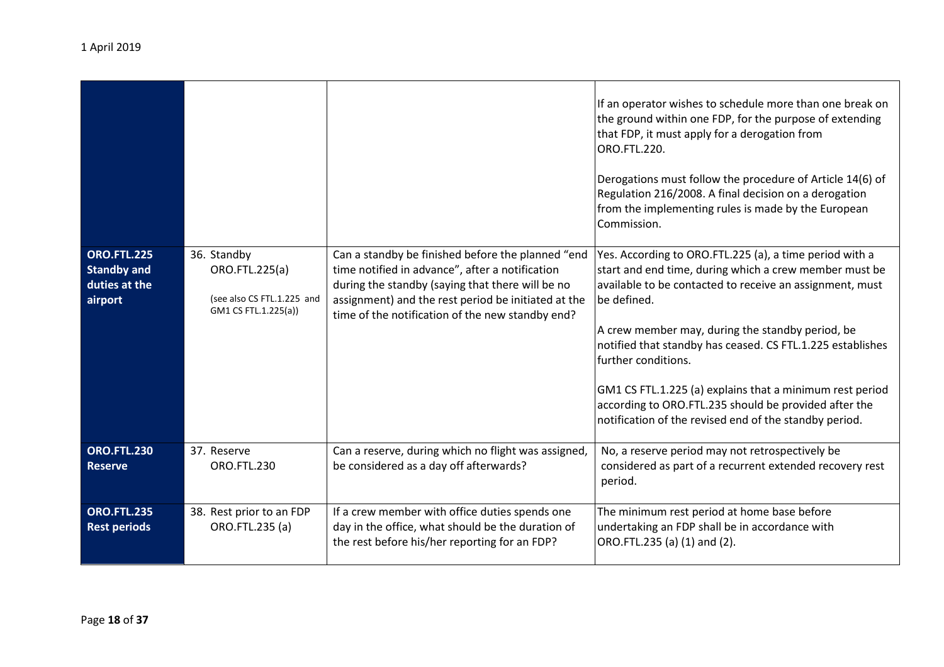|                                                                      |                                                                                     |                                                                                                                                                                                                                                                                     | If an operator wishes to schedule more than one break on<br>the ground within one FDP, for the purpose of extending<br>that FDP, it must apply for a derogation from<br>ORO.FTL.220.<br>Derogations must follow the procedure of Article 14(6) of<br>Regulation 216/2008. A final decision on a derogation<br>from the implementing rules is made by the European<br>Commission.                                                                                                                                     |
|----------------------------------------------------------------------|-------------------------------------------------------------------------------------|---------------------------------------------------------------------------------------------------------------------------------------------------------------------------------------------------------------------------------------------------------------------|----------------------------------------------------------------------------------------------------------------------------------------------------------------------------------------------------------------------------------------------------------------------------------------------------------------------------------------------------------------------------------------------------------------------------------------------------------------------------------------------------------------------|
| <b>ORO.FTL.225</b><br><b>Standby and</b><br>duties at the<br>airport | 36. Standby<br>ORO.FTL.225(a)<br>(see also CS FTL.1.225 and<br>GM1 CS FTL.1.225(a)) | Can a standby be finished before the planned "end<br>time notified in advance", after a notification<br>during the standby (saying that there will be no<br>assignment) and the rest period be initiated at the<br>time of the notification of the new standby end? | Yes. According to ORO.FTL.225 (a), a time period with a<br>start and end time, during which a crew member must be<br>available to be contacted to receive an assignment, must<br>be defined.<br>A crew member may, during the standby period, be<br>notified that standby has ceased. CS FTL.1.225 establishes<br>further conditions.<br>GM1 CS FTL.1.225 (a) explains that a minimum rest period<br>according to ORO.FTL.235 should be provided after the<br>notification of the revised end of the standby period. |
| <b>ORO.FTL.230</b><br>Reserve                                        | 37. Reserve<br><b>ORO.FTL.230</b>                                                   | Can a reserve, during which no flight was assigned,<br>be considered as a day off afterwards?                                                                                                                                                                       | No, a reserve period may not retrospectively be<br>considered as part of a recurrent extended recovery rest<br>period.                                                                                                                                                                                                                                                                                                                                                                                               |
| <b>ORO.FTL.235</b><br><b>Rest periods</b>                            | 38. Rest prior to an FDP<br>ORO.FTL.235 (a)                                         | If a crew member with office duties spends one<br>day in the office, what should be the duration of<br>the rest before his/her reporting for an FDP?                                                                                                                | The minimum rest period at home base before<br>undertaking an FDP shall be in accordance with<br>ORO.FTL.235 (a) (1) and (2).                                                                                                                                                                                                                                                                                                                                                                                        |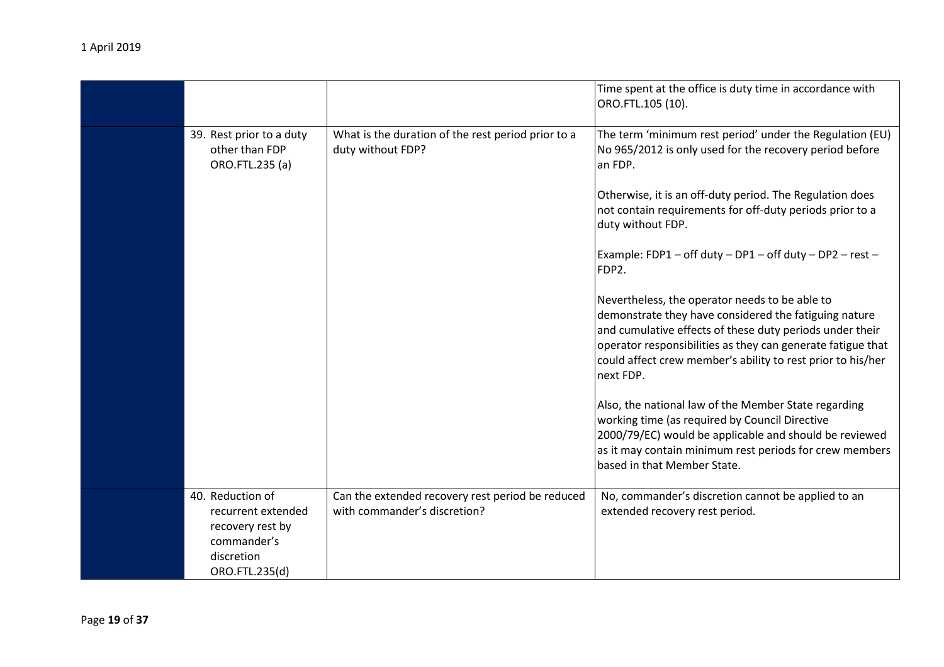|                                                                                                           |                                                                                  | Time spent at the office is duty time in accordance with<br>ORO.FTL.105 (10).                                                                                                                                                                                                                                  |
|-----------------------------------------------------------------------------------------------------------|----------------------------------------------------------------------------------|----------------------------------------------------------------------------------------------------------------------------------------------------------------------------------------------------------------------------------------------------------------------------------------------------------------|
| 39. Rest prior to a duty<br>other than FDP<br>ORO.FTL.235 (a)                                             | What is the duration of the rest period prior to a<br>duty without FDP?          | The term 'minimum rest period' under the Regulation (EU)<br>No 965/2012 is only used for the recovery period before<br>an FDP.                                                                                                                                                                                 |
|                                                                                                           |                                                                                  | Otherwise, it is an off-duty period. The Regulation does<br>not contain requirements for off-duty periods prior to a<br>duty without FDP.                                                                                                                                                                      |
|                                                                                                           |                                                                                  | Example: FDP1 - off duty - DP1 - off duty - DP2 - rest -<br>FDP2.                                                                                                                                                                                                                                              |
|                                                                                                           |                                                                                  | Nevertheless, the operator needs to be able to<br>demonstrate they have considered the fatiguing nature<br>and cumulative effects of these duty periods under their<br>operator responsibilities as they can generate fatigue that<br>could affect crew member's ability to rest prior to his/her<br>next FDP. |
|                                                                                                           |                                                                                  | Also, the national law of the Member State regarding<br>working time (as required by Council Directive<br>2000/79/EC) would be applicable and should be reviewed<br>as it may contain minimum rest periods for crew members<br>based in that Member State.                                                     |
| 40. Reduction of<br>recurrent extended<br>recovery rest by<br>commander's<br>discretion<br>ORO.FTL.235(d) | Can the extended recovery rest period be reduced<br>with commander's discretion? | No, commander's discretion cannot be applied to an<br>extended recovery rest period.                                                                                                                                                                                                                           |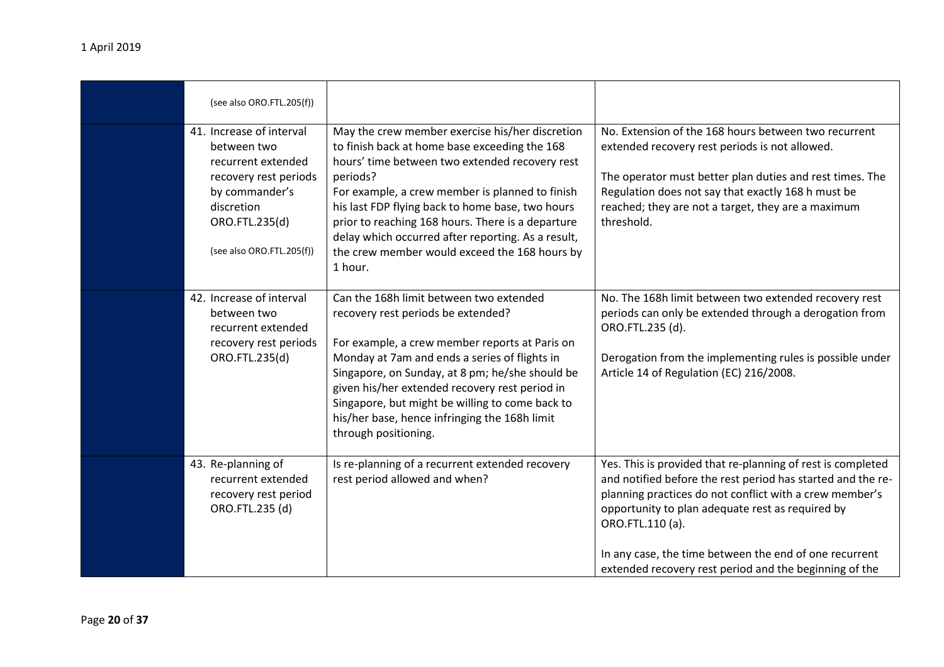| (see also ORO.FTL.205(f))                                                                                                                                             |                                                                                                                                                                                                                                                                                                                                                                                                                                              |                                                                                                                                                                                                                                                                                                                                                                                   |
|-----------------------------------------------------------------------------------------------------------------------------------------------------------------------|----------------------------------------------------------------------------------------------------------------------------------------------------------------------------------------------------------------------------------------------------------------------------------------------------------------------------------------------------------------------------------------------------------------------------------------------|-----------------------------------------------------------------------------------------------------------------------------------------------------------------------------------------------------------------------------------------------------------------------------------------------------------------------------------------------------------------------------------|
| 41. Increase of interval<br>between two<br>recurrent extended<br>recovery rest periods<br>by commander's<br>discretion<br>ORO.FTL.235(d)<br>(see also ORO.FTL.205(f)) | May the crew member exercise his/her discretion<br>to finish back at home base exceeding the 168<br>hours' time between two extended recovery rest<br>periods?<br>For example, a crew member is planned to finish<br>his last FDP flying back to home base, two hours<br>prior to reaching 168 hours. There is a departure<br>delay which occurred after reporting. As a result,<br>the crew member would exceed the 168 hours by<br>1 hour. | No. Extension of the 168 hours between two recurrent<br>extended recovery rest periods is not allowed.<br>The operator must better plan duties and rest times. The<br>Regulation does not say that exactly 168 h must be<br>reached; they are not a target, they are a maximum<br>threshold.                                                                                      |
| 42. Increase of interval<br>between two<br>recurrent extended<br>recovery rest periods<br>ORO.FTL.235(d)                                                              | Can the 168h limit between two extended<br>recovery rest periods be extended?<br>For example, a crew member reports at Paris on<br>Monday at 7am and ends a series of flights in<br>Singapore, on Sunday, at 8 pm; he/she should be<br>given his/her extended recovery rest period in<br>Singapore, but might be willing to come back to<br>his/her base, hence infringing the 168h limit<br>through positioning.                            | No. The 168h limit between two extended recovery rest<br>periods can only be extended through a derogation from<br>ORO.FTL.235 (d).<br>Derogation from the implementing rules is possible under<br>Article 14 of Regulation (EC) 216/2008.                                                                                                                                        |
| 43. Re-planning of<br>recurrent extended<br>recovery rest period<br>ORO.FTL.235 (d)                                                                                   | Is re-planning of a recurrent extended recovery<br>rest period allowed and when?                                                                                                                                                                                                                                                                                                                                                             | Yes. This is provided that re-planning of rest is completed<br>and notified before the rest period has started and the re-<br>planning practices do not conflict with a crew member's<br>opportunity to plan adequate rest as required by<br>ORO.FTL.110 (a).<br>In any case, the time between the end of one recurrent<br>extended recovery rest period and the beginning of the |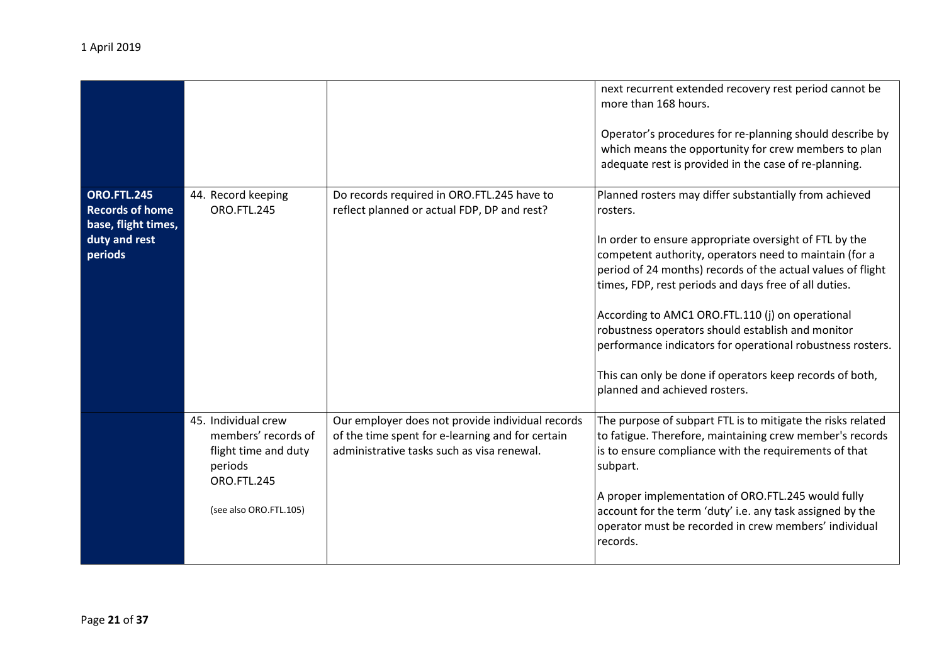|                                                                                                 |                                                                                                                        |                                                                                                                                                    | next recurrent extended recovery rest period cannot be<br>more than 168 hours.<br>Operator's procedures for re-planning should describe by<br>which means the opportunity for crew members to plan<br>adequate rest is provided in the case of re-planning.                                                                                                                                                                                                                                                                                                                        |
|-------------------------------------------------------------------------------------------------|------------------------------------------------------------------------------------------------------------------------|----------------------------------------------------------------------------------------------------------------------------------------------------|------------------------------------------------------------------------------------------------------------------------------------------------------------------------------------------------------------------------------------------------------------------------------------------------------------------------------------------------------------------------------------------------------------------------------------------------------------------------------------------------------------------------------------------------------------------------------------|
| <b>ORO.FTL.245</b><br><b>Records of home</b><br>base, flight times,<br>duty and rest<br>periods | 44. Record keeping<br>ORO.FTL.245                                                                                      | Do records required in ORO.FTL.245 have to<br>reflect planned or actual FDP, DP and rest?                                                          | Planned rosters may differ substantially from achieved<br>rosters.<br>In order to ensure appropriate oversight of FTL by the<br>competent authority, operators need to maintain (for a<br>period of 24 months) records of the actual values of flight<br>times, FDP, rest periods and days free of all duties.<br>According to AMC1 ORO.FTL.110 (j) on operational<br>robustness operators should establish and monitor<br>performance indicators for operational robustness rosters.<br>This can only be done if operators keep records of both,<br>planned and achieved rosters. |
|                                                                                                 | 45. Individual crew<br>members' records of<br>flight time and duty<br>periods<br>ORO.FTL.245<br>(see also ORO.FTL.105) | Our employer does not provide individual records<br>of the time spent for e-learning and for certain<br>administrative tasks such as visa renewal. | The purpose of subpart FTL is to mitigate the risks related<br>to fatigue. Therefore, maintaining crew member's records<br>is to ensure compliance with the requirements of that<br>subpart.<br>A proper implementation of ORO.FTL.245 would fully<br>account for the term 'duty' i.e. any task assigned by the<br>operator must be recorded in crew members' individual<br>records.                                                                                                                                                                                               |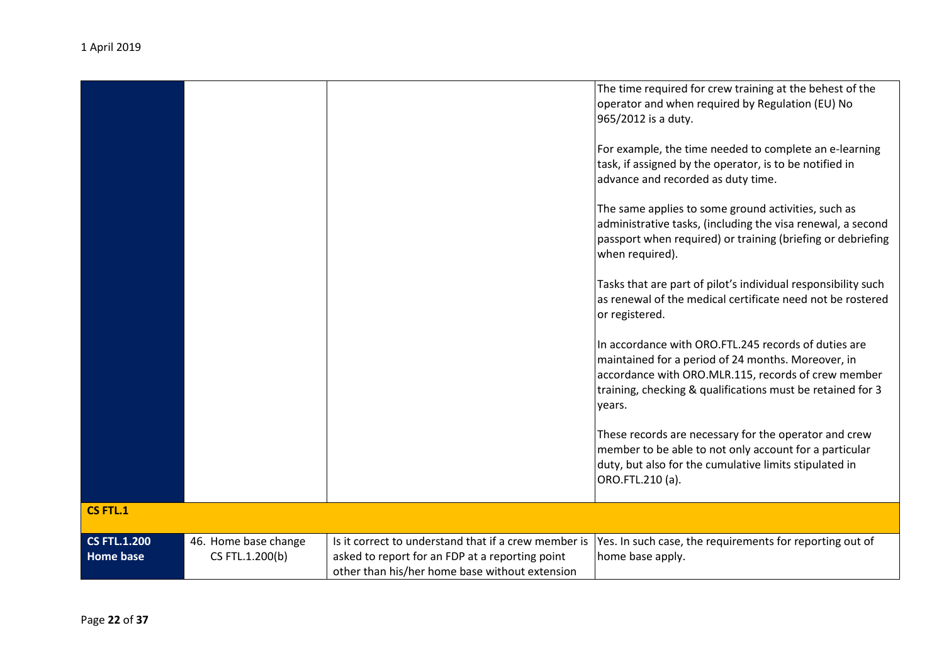|                                         |                                         |                                                                                                                                                           | The time required for crew training at the behest of the<br>operator and when required by Regulation (EU) No<br>965/2012 is a duty.<br>For example, the time needed to complete an e-learning<br>task, if assigned by the operator, is to be notified in<br>advance and recorded as duty time.<br>The same applies to some ground activities, such as<br>administrative tasks, (including the visa renewal, a second<br>passport when required) or training (briefing or debriefing<br>when required).<br>Tasks that are part of pilot's individual responsibility such<br>as renewal of the medical certificate need not be rostered<br>or registered.<br>In accordance with ORO.FTL.245 records of duties are<br>maintained for a period of 24 months. Moreover, in<br>accordance with ORO.MLR.115, records of crew member<br>training, checking & qualifications must be retained for 3<br>years.<br>These records are necessary for the operator and crew<br>member to be able to not only account for a particular<br>duty, but also for the cumulative limits stipulated in<br>ORO.FTL.210 (a). |
|-----------------------------------------|-----------------------------------------|-----------------------------------------------------------------------------------------------------------------------------------------------------------|-------------------------------------------------------------------------------------------------------------------------------------------------------------------------------------------------------------------------------------------------------------------------------------------------------------------------------------------------------------------------------------------------------------------------------------------------------------------------------------------------------------------------------------------------------------------------------------------------------------------------------------------------------------------------------------------------------------------------------------------------------------------------------------------------------------------------------------------------------------------------------------------------------------------------------------------------------------------------------------------------------------------------------------------------------------------------------------------------------|
|                                         |                                         |                                                                                                                                                           |                                                                                                                                                                                                                                                                                                                                                                                                                                                                                                                                                                                                                                                                                                                                                                                                                                                                                                                                                                                                                                                                                                       |
| <b>CS FTL.1</b>                         |                                         |                                                                                                                                                           |                                                                                                                                                                                                                                                                                                                                                                                                                                                                                                                                                                                                                                                                                                                                                                                                                                                                                                                                                                                                                                                                                                       |
| <b>CS FTL.1.200</b><br><b>Home base</b> | 46. Home base change<br>CS FTL.1.200(b) | Is it correct to understand that if a crew member is<br>asked to report for an FDP at a reporting point<br>other than his/her home base without extension | Yes. In such case, the requirements for reporting out of<br>home base apply.                                                                                                                                                                                                                                                                                                                                                                                                                                                                                                                                                                                                                                                                                                                                                                                                                                                                                                                                                                                                                          |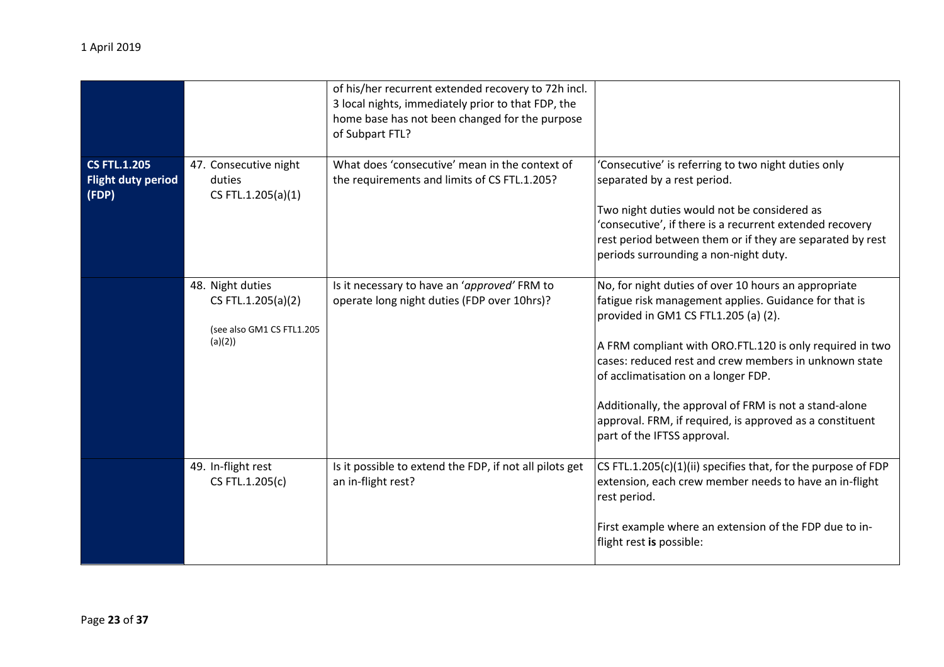|                                                           |                                                                               | of his/her recurrent extended recovery to 72h incl.<br>3 local nights, immediately prior to that FDP, the<br>home base has not been changed for the purpose<br>of Subpart FTL? |                                                                                                                                                                                                                                                                                                                                                                                                                                                                        |
|-----------------------------------------------------------|-------------------------------------------------------------------------------|--------------------------------------------------------------------------------------------------------------------------------------------------------------------------------|------------------------------------------------------------------------------------------------------------------------------------------------------------------------------------------------------------------------------------------------------------------------------------------------------------------------------------------------------------------------------------------------------------------------------------------------------------------------|
| <b>CS FTL.1.205</b><br><b>Flight duty period</b><br>(FDP) | 47. Consecutive night<br>duties<br>CS FTL.1.205(a)(1)                         | What does 'consecutive' mean in the context of<br>the requirements and limits of CS FTL.1.205?                                                                                 | 'Consecutive' is referring to two night duties only<br>separated by a rest period.<br>Two night duties would not be considered as<br>'consecutive', if there is a recurrent extended recovery<br>rest period between them or if they are separated by rest<br>periods surrounding a non-night duty.                                                                                                                                                                    |
|                                                           | 48. Night duties<br>CS FTL.1.205(a)(2)<br>(see also GM1 CS FTL1.205<br>(a)(2) | Is it necessary to have an 'approved' FRM to<br>operate long night duties (FDP over 10hrs)?                                                                                    | No, for night duties of over 10 hours an appropriate<br>fatigue risk management applies. Guidance for that is<br>provided in GM1 CS FTL1.205 (a) (2).<br>A FRM compliant with ORO.FTL.120 is only required in two<br>cases: reduced rest and crew members in unknown state<br>of acclimatisation on a longer FDP.<br>Additionally, the approval of FRM is not a stand-alone<br>approval. FRM, if required, is approved as a constituent<br>part of the IFTSS approval. |
|                                                           | 49. In-flight rest<br>CS FTL.1.205(c)                                         | Is it possible to extend the FDP, if not all pilots get<br>an in-flight rest?                                                                                                  | CS FTL.1.205(c)(1)(ii) specifies that, for the purpose of FDP<br>extension, each crew member needs to have an in-flight<br>rest period.<br>First example where an extension of the FDP due to in-<br>flight rest is possible:                                                                                                                                                                                                                                          |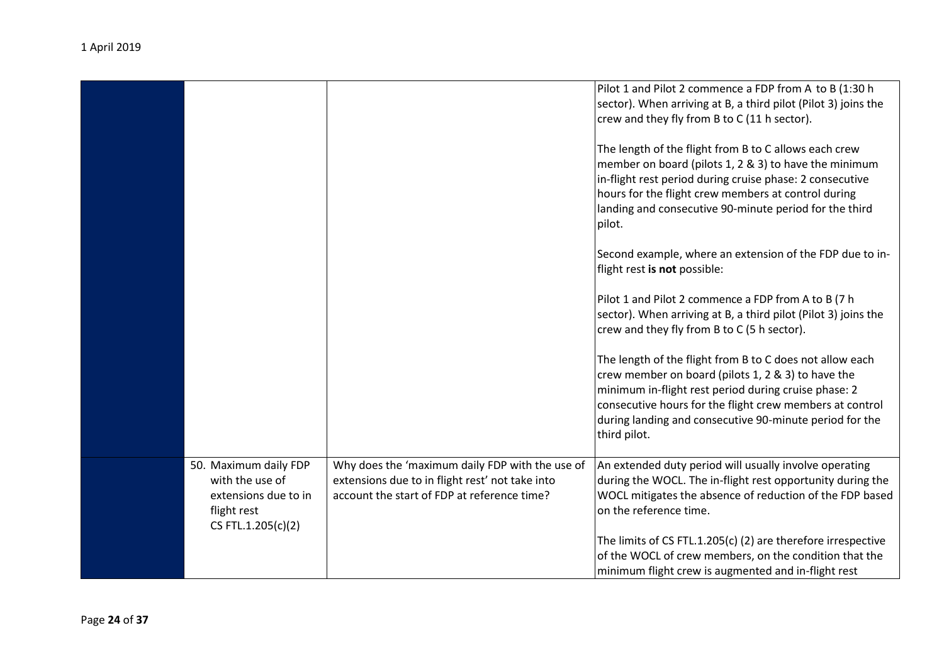|                                                                                                       |                                                                                                                                                   | Pilot 1 and Pilot 2 commence a FDP from A to B (1:30 h<br>sector). When arriving at B, a third pilot (Pilot 3) joins the<br>crew and they fly from B to C (11 h sector).                                                                                                                                      |
|-------------------------------------------------------------------------------------------------------|---------------------------------------------------------------------------------------------------------------------------------------------------|---------------------------------------------------------------------------------------------------------------------------------------------------------------------------------------------------------------------------------------------------------------------------------------------------------------|
|                                                                                                       |                                                                                                                                                   | The length of the flight from B to C allows each crew<br>member on board (pilots 1, 2 & 3) to have the minimum<br>in-flight rest period during cruise phase: 2 consecutive<br>hours for the flight crew members at control during<br>landing and consecutive 90-minute period for the third<br>pilot.         |
|                                                                                                       |                                                                                                                                                   | Second example, where an extension of the FDP due to in-<br>flight rest is not possible:                                                                                                                                                                                                                      |
|                                                                                                       |                                                                                                                                                   | Pilot 1 and Pilot 2 commence a FDP from A to B (7 h<br>sector). When arriving at B, a third pilot (Pilot 3) joins the<br>crew and they fly from B to C (5 h sector).                                                                                                                                          |
|                                                                                                       |                                                                                                                                                   | The length of the flight from B to C does not allow each<br>crew member on board (pilots 1, 2 & 3) to have the<br>minimum in-flight rest period during cruise phase: 2<br>consecutive hours for the flight crew members at control<br>during landing and consecutive 90-minute period for the<br>third pilot. |
| 50. Maximum daily FDP<br>with the use of<br>extensions due to in<br>flight rest<br>CS FTL.1.205(c)(2) | Why does the 'maximum daily FDP with the use of<br>extensions due to in flight rest' not take into<br>account the start of FDP at reference time? | An extended duty period will usually involve operating<br>during the WOCL. The in-flight rest opportunity during the<br>WOCL mitigates the absence of reduction of the FDP based<br>on the reference time.                                                                                                    |
|                                                                                                       |                                                                                                                                                   | The limits of CS FTL.1.205(c) (2) are therefore irrespective<br>of the WOCL of crew members, on the condition that the<br>minimum flight crew is augmented and in-flight rest                                                                                                                                 |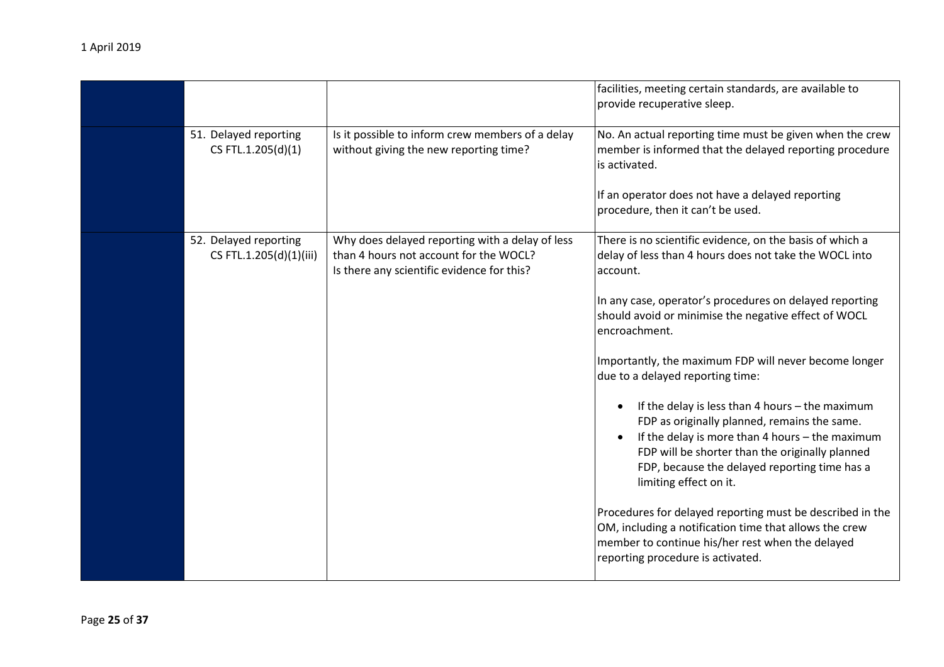|                                                  |                                                                                                                                         | facilities, meeting certain standards, are available to<br>provide recuperative sleep.                                                                                                                                                                                                                                                                                                                                                                                                                                                                                                                                                                                                                                                                                                                                                                              |
|--------------------------------------------------|-----------------------------------------------------------------------------------------------------------------------------------------|---------------------------------------------------------------------------------------------------------------------------------------------------------------------------------------------------------------------------------------------------------------------------------------------------------------------------------------------------------------------------------------------------------------------------------------------------------------------------------------------------------------------------------------------------------------------------------------------------------------------------------------------------------------------------------------------------------------------------------------------------------------------------------------------------------------------------------------------------------------------|
| 51. Delayed reporting<br>CS FTL.1.205(d)(1)      | Is it possible to inform crew members of a delay<br>without giving the new reporting time?                                              | No. An actual reporting time must be given when the crew<br>member is informed that the delayed reporting procedure<br>is activated.<br>If an operator does not have a delayed reporting<br>procedure, then it can't be used.                                                                                                                                                                                                                                                                                                                                                                                                                                                                                                                                                                                                                                       |
| 52. Delayed reporting<br>CS FTL.1.205(d)(1)(iii) | Why does delayed reporting with a delay of less<br>than 4 hours not account for the WOCL?<br>Is there any scientific evidence for this? | There is no scientific evidence, on the basis of which a<br>delay of less than 4 hours does not take the WOCL into<br>account.<br>In any case, operator's procedures on delayed reporting<br>should avoid or minimise the negative effect of WOCL<br>encroachment.<br>Importantly, the maximum FDP will never become longer<br>due to a delayed reporting time:<br>If the delay is less than 4 hours - the maximum<br>FDP as originally planned, remains the same.<br>If the delay is more than 4 hours - the maximum<br>FDP will be shorter than the originally planned<br>FDP, because the delayed reporting time has a<br>limiting effect on it.<br>Procedures for delayed reporting must be described in the<br>OM, including a notification time that allows the crew<br>member to continue his/her rest when the delayed<br>reporting procedure is activated. |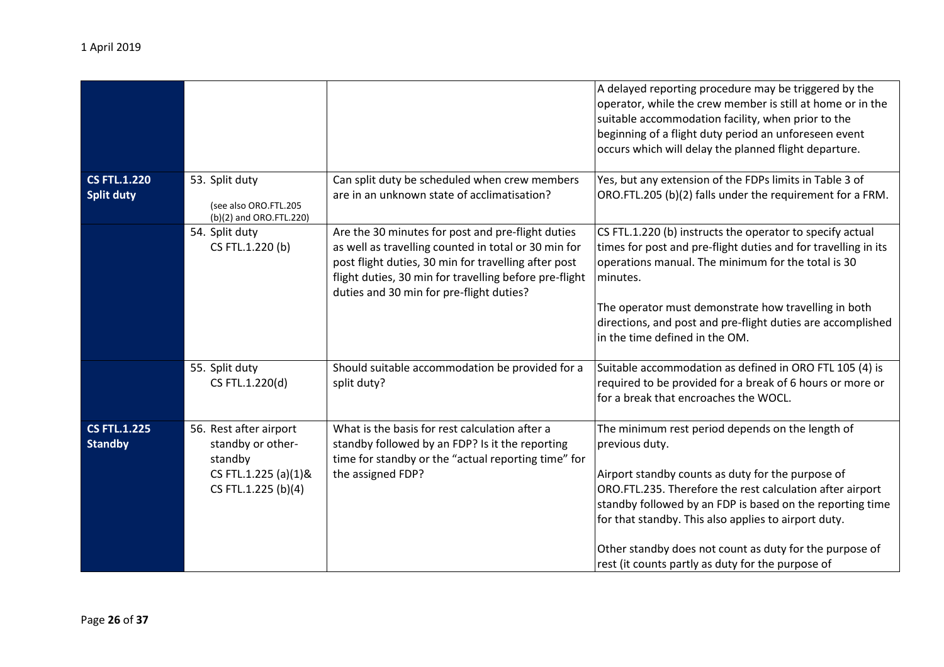|                                          |                                                                    |                                                                                                                                                                                                                                                                         | A delayed reporting procedure may be triggered by the<br>operator, while the crew member is still at home or in the<br>suitable accommodation facility, when prior to the<br>beginning of a flight duty period an unforeseen event<br>occurs which will delay the planned flight departure. |
|------------------------------------------|--------------------------------------------------------------------|-------------------------------------------------------------------------------------------------------------------------------------------------------------------------------------------------------------------------------------------------------------------------|---------------------------------------------------------------------------------------------------------------------------------------------------------------------------------------------------------------------------------------------------------------------------------------------|
| <b>CS FTL.1.220</b><br><b>Split duty</b> | 53. Split duty<br>(see also ORO.FTL.205<br>(b)(2) and ORO.FTL.220) | Can split duty be scheduled when crew members<br>are in an unknown state of acclimatisation?                                                                                                                                                                            | Yes, but any extension of the FDPs limits in Table 3 of<br>ORO.FTL.205 (b)(2) falls under the requirement for a FRM.                                                                                                                                                                        |
|                                          | 54. Split duty<br>CS FTL.1.220 (b)                                 | Are the 30 minutes for post and pre-flight duties<br>as well as travelling counted in total or 30 min for<br>post flight duties, 30 min for travelling after post<br>flight duties, 30 min for travelling before pre-flight<br>duties and 30 min for pre-flight duties? | CS FTL.1.220 (b) instructs the operator to specify actual<br>times for post and pre-flight duties and for travelling in its<br>operations manual. The minimum for the total is 30<br>Iminutes.                                                                                              |
|                                          |                                                                    |                                                                                                                                                                                                                                                                         | The operator must demonstrate how travelling in both<br>directions, and post and pre-flight duties are accomplished<br>in the time defined in the OM.                                                                                                                                       |

|                                       |                                                                                                       | duties and 30 min for pre-flight duties?                                                                                                                                      | The operator must demonstrate how travelling in both<br>directions, and post and pre-flight duties are accomplished<br>in the time defined in the OM.                                                                                                                                                                                                                                                                     |
|---------------------------------------|-------------------------------------------------------------------------------------------------------|-------------------------------------------------------------------------------------------------------------------------------------------------------------------------------|---------------------------------------------------------------------------------------------------------------------------------------------------------------------------------------------------------------------------------------------------------------------------------------------------------------------------------------------------------------------------------------------------------------------------|
|                                       | 55. Split duty<br>CS FTL.1.220(d)                                                                     | Should suitable accommodation be provided for a<br>split duty?                                                                                                                | Suitable accommodation as defined in ORO FTL 105 (4) is<br>required to be provided for a break of 6 hours or more or<br>for a break that encroaches the WOCL.                                                                                                                                                                                                                                                             |
| <b>CS FTL.1.225</b><br><b>Standby</b> | 56. Rest after airport<br>standby or other-<br>standby<br>CS FTL.1.225 (a)(1)&<br>CS FTL.1.225 (b)(4) | What is the basis for rest calculation after a<br>standby followed by an FDP? Is it the reporting<br>time for standby or the "actual reporting time" for<br>the assigned FDP? | The minimum rest period depends on the length of<br>previous duty.<br>Airport standby counts as duty for the purpose of<br>ORO.FTL.235. Therefore the rest calculation after airport<br>standby followed by an FDP is based on the reporting time<br>for that standby. This also applies to airport duty.<br>Other standby does not count as duty for the purpose of<br>rest (it counts partly as duty for the purpose of |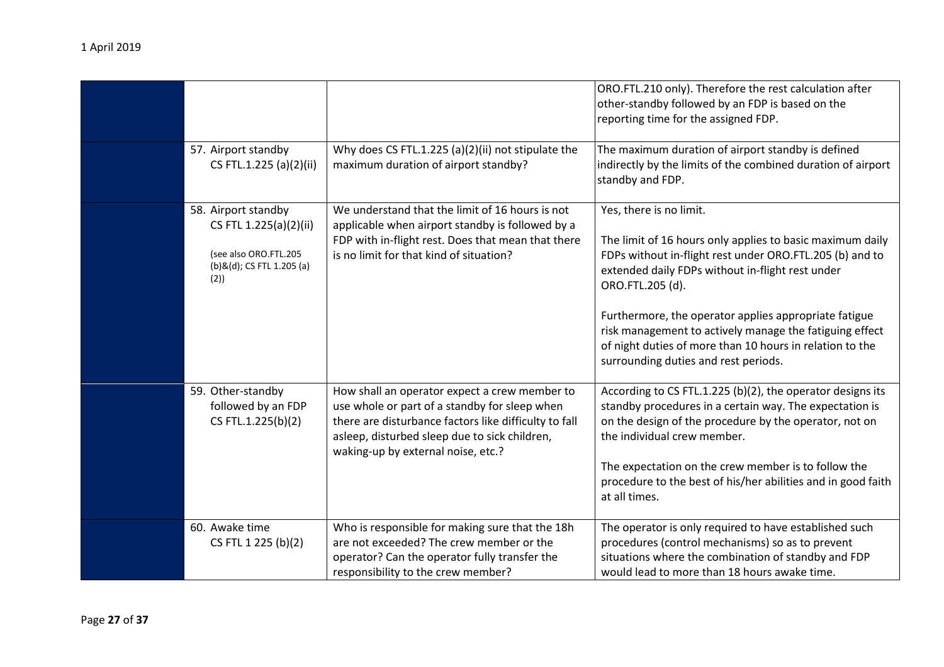|                                                                                                            |                                                                                                                                                                                                                                                | ORO.FTL.210 only). Therefore the rest calculation after<br>other-standby followed by an FDP is based on the<br>reporting time for the assigned FDP.                                                                                                                                                                                                                                                                                              |
|------------------------------------------------------------------------------------------------------------|------------------------------------------------------------------------------------------------------------------------------------------------------------------------------------------------------------------------------------------------|--------------------------------------------------------------------------------------------------------------------------------------------------------------------------------------------------------------------------------------------------------------------------------------------------------------------------------------------------------------------------------------------------------------------------------------------------|
| 57. Airport standby<br>CS FTL.1.225 (a)(2)(ii)                                                             | Why does CS FTL.1.225 (a)(2)(ii) not stipulate the<br>maximum duration of airport standby?                                                                                                                                                     | The maximum duration of airport standby is defined<br>indirectly by the limits of the combined duration of airport<br>standby and FDP.                                                                                                                                                                                                                                                                                                           |
| 58. Airport standby<br>CS FTL 1.225(a)(2)(ii)<br>(see also ORO.FTL.205<br>(b)&(d); CS FTL 1.205 (a)<br>(2) | We understand that the limit of 16 hours is not<br>applicable when airport standby is followed by a<br>FDP with in-flight rest. Does that mean that there<br>is no limit for that kind of situation?                                           | Yes, there is no limit.<br>The limit of 16 hours only applies to basic maximum daily<br>FDPs without in-flight rest under ORO.FTL.205 (b) and to<br>extended daily FDPs without in-flight rest under<br>ORO.FTL.205 (d).<br>Furthermore, the operator applies appropriate fatigue<br>risk management to actively manage the fatiguing effect<br>of night duties of more than 10 hours in relation to the<br>surrounding duties and rest periods. |
| 59. Other-standby<br>followed by an FDP<br>CS FTL.1.225(b)(2)                                              | How shall an operator expect a crew member to<br>use whole or part of a standby for sleep when<br>there are disturbance factors like difficulty to fall<br>asleep, disturbed sleep due to sick children,<br>waking-up by external noise, etc.? | According to CS FTL.1.225 (b)(2), the operator designs its<br>standby procedures in a certain way. The expectation is<br>on the design of the procedure by the operator, not on<br>the individual crew member.<br>The expectation on the crew member is to follow the<br>procedure to the best of his/her abilities and in good faith<br>at all times.                                                                                           |
| 60. Awake time<br>CS FTL 1 225 (b)(2)                                                                      | Who is responsible for making sure that the 18h<br>are not exceeded? The crew member or the<br>operator? Can the operator fully transfer the<br>responsibility to the crew member?                                                             | The operator is only required to have established such<br>procedures (control mechanisms) so as to prevent<br>situations where the combination of standby and FDP<br>would lead to more than 18 hours awake time.                                                                                                                                                                                                                                |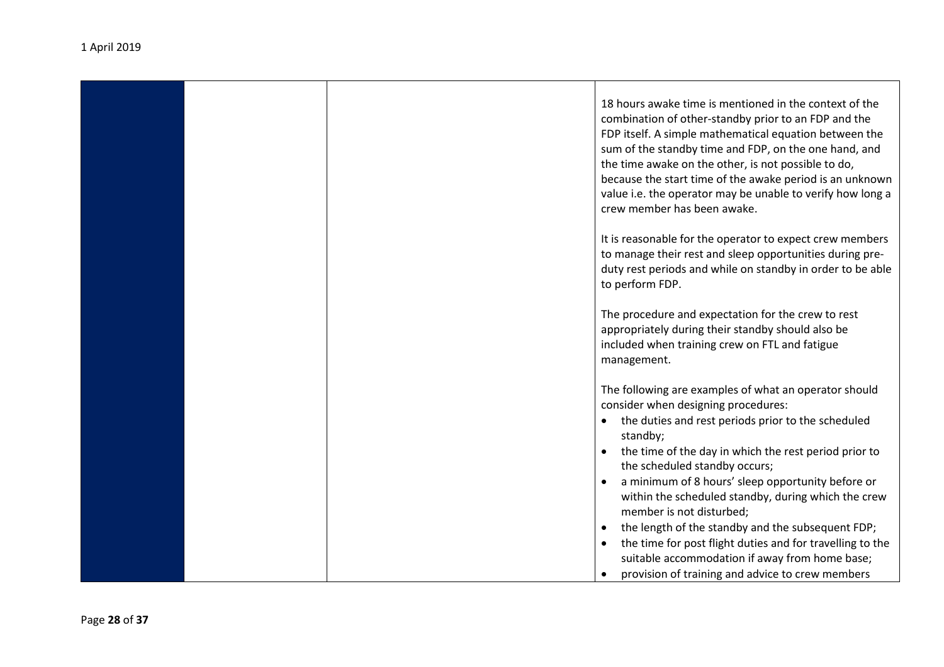| 18 hours awake time is mentioned in the context of the<br>combination of other-standby prior to an FDP and the<br>FDP itself. A simple mathematical equation between the<br>sum of the standby time and FDP, on the one hand, and<br>the time awake on the other, is not possible to do,<br>because the start time of the awake period is an unknown<br>value i.e. the operator may be unable to verify how long a<br>crew member has been awake. |
|---------------------------------------------------------------------------------------------------------------------------------------------------------------------------------------------------------------------------------------------------------------------------------------------------------------------------------------------------------------------------------------------------------------------------------------------------|
| It is reasonable for the operator to expect crew members<br>to manage their rest and sleep opportunities during pre-<br>duty rest periods and while on standby in order to be able<br>to perform FDP.                                                                                                                                                                                                                                             |
| The procedure and expectation for the crew to rest<br>appropriately during their standby should also be<br>included when training crew on FTL and fatigue<br>management.                                                                                                                                                                                                                                                                          |
| The following are examples of what an operator should<br>consider when designing procedures:<br>• the duties and rest periods prior to the scheduled<br>standby;<br>the time of the day in which the rest period prior to<br>$\bullet$<br>the scheduled standby occurs;                                                                                                                                                                           |
| a minimum of 8 hours' sleep opportunity before or<br>within the scheduled standby, during which the crew<br>member is not disturbed;<br>the length of the standby and the subsequent FDP;<br>the time for post flight duties and for travelling to the<br>suitable accommodation if away from home base;<br>provision of training and advice to crew members                                                                                      |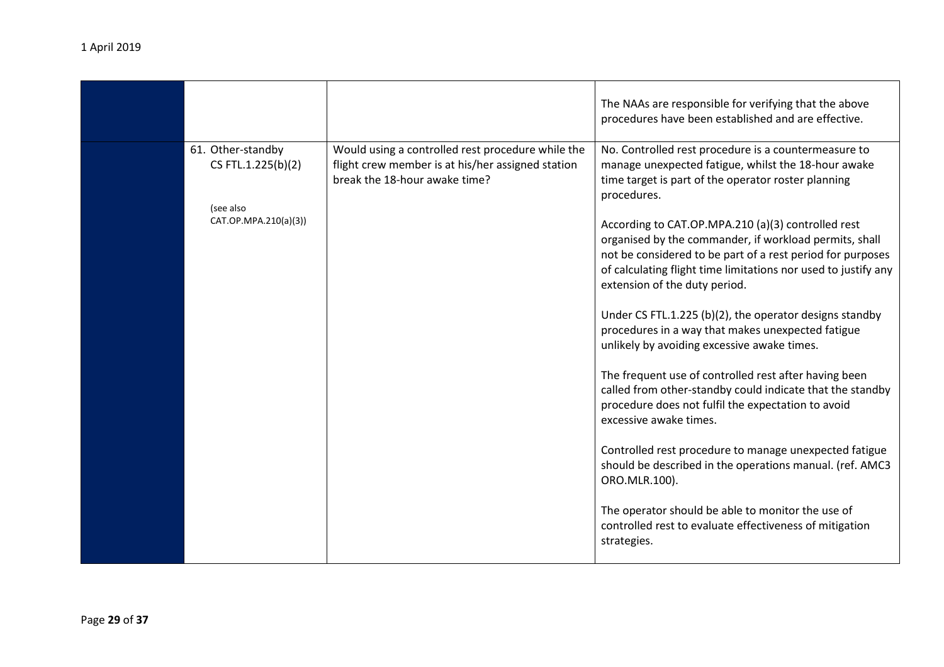|                                                                               |                                                                                                                                         | The NAAs are responsible for verifying that the above<br>procedures have been established and are effective.                                                                                                                                                                                                                                                                                                                                                                                                                                                                                                                                                                                                                                                                                                                            |
|-------------------------------------------------------------------------------|-----------------------------------------------------------------------------------------------------------------------------------------|-----------------------------------------------------------------------------------------------------------------------------------------------------------------------------------------------------------------------------------------------------------------------------------------------------------------------------------------------------------------------------------------------------------------------------------------------------------------------------------------------------------------------------------------------------------------------------------------------------------------------------------------------------------------------------------------------------------------------------------------------------------------------------------------------------------------------------------------|
| 61. Other-standby<br>CS FTL.1.225(b)(2)<br>(see also<br>CAT.OP.MPA.210(a)(3)) | Would using a controlled rest procedure while the<br>flight crew member is at his/her assigned station<br>break the 18-hour awake time? | No. Controlled rest procedure is a countermeasure to<br>manage unexpected fatigue, whilst the 18-hour awake<br>time target is part of the operator roster planning<br>procedures.<br>According to CAT.OP.MPA.210 (a)(3) controlled rest<br>organised by the commander, if workload permits, shall<br>not be considered to be part of a rest period for purposes<br>of calculating flight time limitations nor used to justify any<br>extension of the duty period.<br>Under CS FTL.1.225 (b)(2), the operator designs standby<br>procedures in a way that makes unexpected fatigue<br>unlikely by avoiding excessive awake times.<br>The frequent use of controlled rest after having been<br>called from other-standby could indicate that the standby<br>procedure does not fulfil the expectation to avoid<br>excessive awake times. |
|                                                                               |                                                                                                                                         | Controlled rest procedure to manage unexpected fatigue<br>should be described in the operations manual. (ref. AMC3<br>ORO.MLR.100).                                                                                                                                                                                                                                                                                                                                                                                                                                                                                                                                                                                                                                                                                                     |
|                                                                               |                                                                                                                                         | The operator should be able to monitor the use of<br>controlled rest to evaluate effectiveness of mitigation<br>strategies.                                                                                                                                                                                                                                                                                                                                                                                                                                                                                                                                                                                                                                                                                                             |
|                                                                               |                                                                                                                                         |                                                                                                                                                                                                                                                                                                                                                                                                                                                                                                                                                                                                                                                                                                                                                                                                                                         |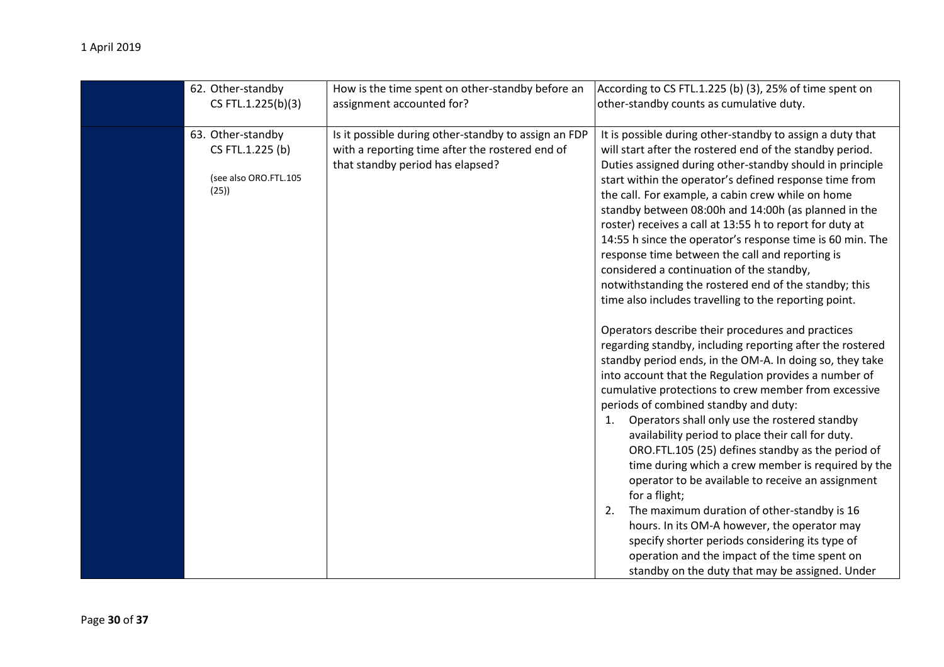| 62. Other-standby     | How is the time spent on other-standby before an     | According to CS FTL.1.225 (b) (3), 25% of time spent on   |
|-----------------------|------------------------------------------------------|-----------------------------------------------------------|
| CS FTL.1.225(b)(3)    | assignment accounted for?                            | other-standby counts as cumulative duty.                  |
|                       |                                                      |                                                           |
| 63. Other-standby     | Is it possible during other-standby to assign an FDP | It is possible during other-standby to assign a duty that |
| CS FTL.1.225 (b)      | with a reporting time after the rostered end of      | will start after the rostered end of the standby period.  |
|                       | that standby period has elapsed?                     | Duties assigned during other-standby should in principle  |
| (see also ORO.FTL.105 |                                                      | start within the operator's defined response time from    |
| (25)                  |                                                      | the call. For example, a cabin crew while on home         |
|                       |                                                      | standby between 08:00h and 14:00h (as planned in the      |
|                       |                                                      | roster) receives a call at 13:55 h to report for duty at  |
|                       |                                                      | 14:55 h since the operator's response time is 60 min. The |
|                       |                                                      | response time between the call and reporting is           |
|                       |                                                      | considered a continuation of the standby,                 |
|                       |                                                      | notwithstanding the rostered end of the standby; this     |
|                       |                                                      | time also includes travelling to the reporting point.     |
|                       |                                                      |                                                           |
|                       |                                                      | Operators describe their procedures and practices         |
|                       |                                                      | regarding standby, including reporting after the rostered |
|                       |                                                      | standby period ends, in the OM-A. In doing so, they take  |
|                       |                                                      | into account that the Regulation provides a number of     |
|                       |                                                      | cumulative protections to crew member from excessive      |
|                       |                                                      | periods of combined standby and duty:                     |
|                       |                                                      | Operators shall only use the rostered standby<br>1.       |
|                       |                                                      | availability period to place their call for duty.         |
|                       |                                                      | ORO.FTL.105 (25) defines standby as the period of         |
|                       |                                                      | time during which a crew member is required by the        |
|                       |                                                      | operator to be available to receive an assignment         |
|                       |                                                      | for a flight;                                             |
|                       |                                                      | The maximum duration of other-standby is 16<br>2.         |
|                       |                                                      | hours. In its OM-A however, the operator may              |
|                       |                                                      | specify shorter periods considering its type of           |
|                       |                                                      | operation and the impact of the time spent on             |
|                       |                                                      | standby on the duty that may be assigned. Under           |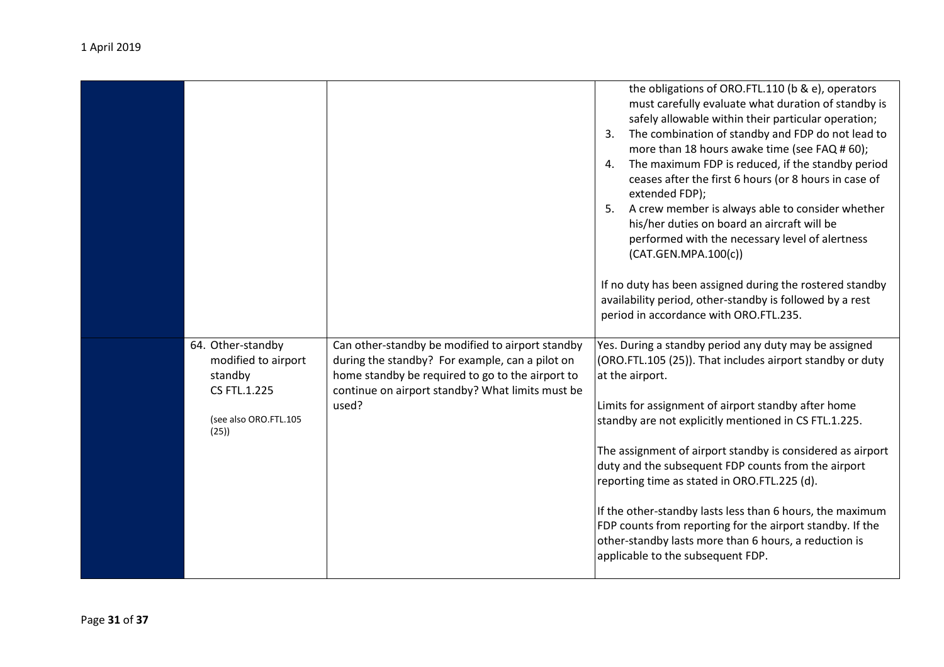|                                                                     |                                                                                                                                                                                                             | the obligations of ORO.FTL.110 (b & e), operators<br>must carefully evaluate what duration of standby is<br>safely allowable within their particular operation;<br>The combination of standby and FDP do not lead to<br>3.<br>more than 18 hours awake time (see FAQ # 60);<br>The maximum FDP is reduced, if the standby period<br>4.<br>ceases after the first 6 hours (or 8 hours in case of<br>extended FDP);<br>A crew member is always able to consider whether<br>5.<br>his/her duties on board an aircraft will be<br>performed with the necessary level of alertness<br>(CAT.GEN.MPA.100(c))<br>If no duty has been assigned during the rostered standby<br>availability period, other-standby is followed by a rest |
|---------------------------------------------------------------------|-------------------------------------------------------------------------------------------------------------------------------------------------------------------------------------------------------------|-------------------------------------------------------------------------------------------------------------------------------------------------------------------------------------------------------------------------------------------------------------------------------------------------------------------------------------------------------------------------------------------------------------------------------------------------------------------------------------------------------------------------------------------------------------------------------------------------------------------------------------------------------------------------------------------------------------------------------|
|                                                                     |                                                                                                                                                                                                             | period in accordance with ORO.FTL.235.                                                                                                                                                                                                                                                                                                                                                                                                                                                                                                                                                                                                                                                                                        |
| 64. Other-standby<br>modified to airport<br>standby<br>CS FTL.1.225 | Can other-standby be modified to airport standby<br>during the standby? For example, can a pilot on<br>home standby be required to go to the airport to<br>continue on airport standby? What limits must be | Yes. During a standby period any duty may be assigned<br>(ORO.FTL.105 (25)). That includes airport standby or duty<br>at the airport.                                                                                                                                                                                                                                                                                                                                                                                                                                                                                                                                                                                         |
| (see also ORO.FTL.105<br>(25)                                       | used?                                                                                                                                                                                                       | Limits for assignment of airport standby after home<br>standby are not explicitly mentioned in CS FTL.1.225.                                                                                                                                                                                                                                                                                                                                                                                                                                                                                                                                                                                                                  |
|                                                                     |                                                                                                                                                                                                             | The assignment of airport standby is considered as airport<br>duty and the subsequent FDP counts from the airport<br>reporting time as stated in ORO.FTL.225 (d).                                                                                                                                                                                                                                                                                                                                                                                                                                                                                                                                                             |
|                                                                     |                                                                                                                                                                                                             | If the other-standby lasts less than 6 hours, the maximum<br>FDP counts from reporting for the airport standby. If the<br>other-standby lasts more than 6 hours, a reduction is<br>applicable to the subsequent FDP.                                                                                                                                                                                                                                                                                                                                                                                                                                                                                                          |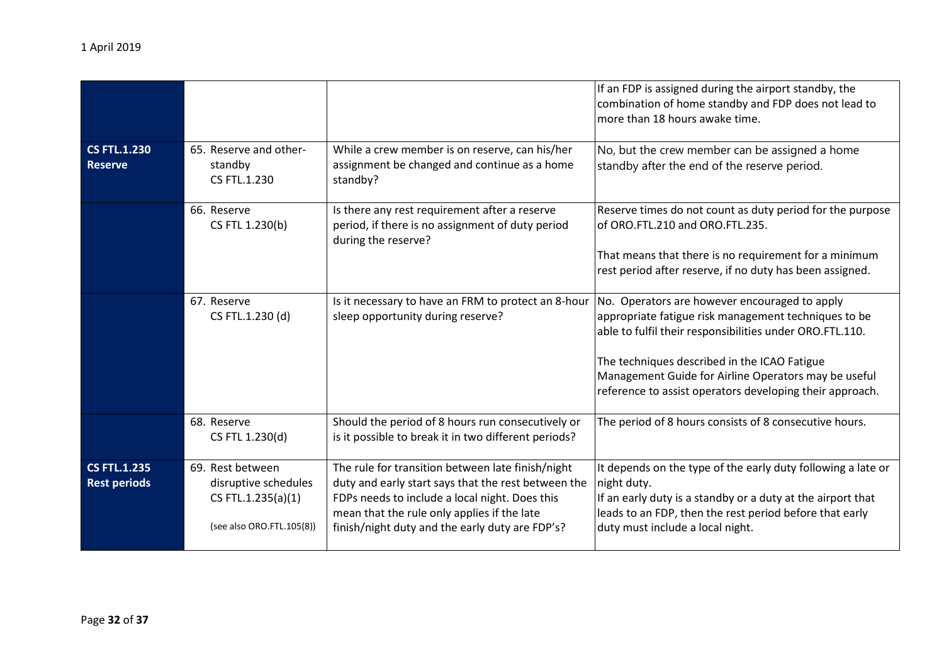|                                            |                                                                                             |                                                                                                                                                                                                                                                              | If an FDP is assigned during the airport standby, the<br>combination of home standby and FDP does not lead to<br>more than 18 hours awake time.                                                                                           |
|--------------------------------------------|---------------------------------------------------------------------------------------------|--------------------------------------------------------------------------------------------------------------------------------------------------------------------------------------------------------------------------------------------------------------|-------------------------------------------------------------------------------------------------------------------------------------------------------------------------------------------------------------------------------------------|
| <b>CS FTL.1.230</b><br><b>Reserve</b>      | 65. Reserve and other-<br>standby<br>CS FTL.1.230                                           | While a crew member is on reserve, can his/her<br>assignment be changed and continue as a home<br>standby?                                                                                                                                                   | No, but the crew member can be assigned a home<br>standby after the end of the reserve period.                                                                                                                                            |
|                                            | 66. Reserve<br>CS FTL 1.230(b)                                                              | Is there any rest requirement after a reserve<br>period, if there is no assignment of duty period<br>during the reserve?                                                                                                                                     | Reserve times do not count as duty period for the purpose<br>of ORO.FTL.210 and ORO.FTL.235.                                                                                                                                              |
|                                            |                                                                                             |                                                                                                                                                                                                                                                              | That means that there is no requirement for a minimum<br>rest period after reserve, if no duty has been assigned.                                                                                                                         |
|                                            | 67. Reserve<br>CS FTL.1.230 (d)                                                             | Is it necessary to have an FRM to protect an 8-hour<br>sleep opportunity during reserve?                                                                                                                                                                     | No. Operators are however encouraged to apply<br>appropriate fatigue risk management techniques to be<br>able to fulfil their responsibilities under ORO.FTL.110.                                                                         |
|                                            |                                                                                             |                                                                                                                                                                                                                                                              | The techniques described in the ICAO Fatigue<br>Management Guide for Airline Operators may be useful<br>reference to assist operators developing their approach.                                                                          |
|                                            | 68. Reserve<br>CS FTL 1.230(d)                                                              | Should the period of 8 hours run consecutively or<br>is it possible to break it in two different periods?                                                                                                                                                    | The period of 8 hours consists of 8 consecutive hours.                                                                                                                                                                                    |
| <b>CS FTL.1.235</b><br><b>Rest periods</b> | 69. Rest between<br>disruptive schedules<br>CS FTL.1.235(a)(1)<br>(see also ORO.FTL.105(8)) | The rule for transition between late finish/night<br>duty and early start says that the rest between the<br>FDPs needs to include a local night. Does this<br>mean that the rule only applies if the late<br>finish/night duty and the early duty are FDP's? | It depends on the type of the early duty following a late or<br>night duty.<br>If an early duty is a standby or a duty at the airport that<br>leads to an FDP, then the rest period before that early<br>duty must include a local night. |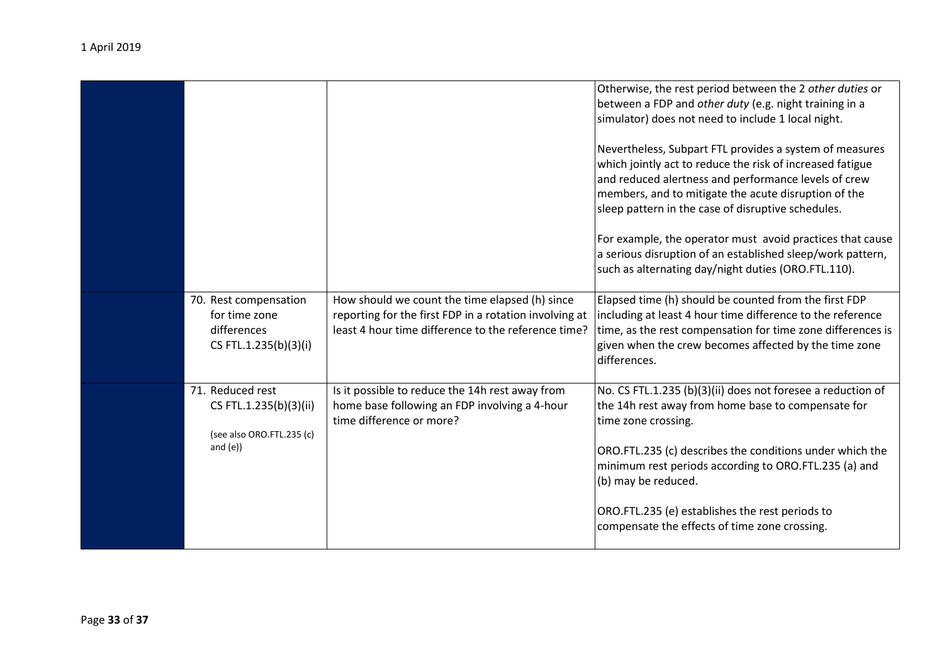|  |                                                                                        |                                                                                                                                                                 | Otherwise, the rest period between the 2 other duties or<br>between a FDP and other duty (e.g. night training in a<br>simulator) does not need to include 1 local night.                                                                                                                                                                |
|--|----------------------------------------------------------------------------------------|-----------------------------------------------------------------------------------------------------------------------------------------------------------------|-----------------------------------------------------------------------------------------------------------------------------------------------------------------------------------------------------------------------------------------------------------------------------------------------------------------------------------------|
|  |                                                                                        |                                                                                                                                                                 | Nevertheless, Subpart FTL provides a system of measures<br>which jointly act to reduce the risk of increased fatigue<br>and reduced alertness and performance levels of crew<br>members, and to mitigate the acute disruption of the<br>sleep pattern in the case of disruptive schedules.                                              |
|  |                                                                                        |                                                                                                                                                                 | For example, the operator must avoid practices that cause<br>a serious disruption of an established sleep/work pattern,<br>such as alternating day/night duties (ORO.FTL.110).                                                                                                                                                          |
|  | 70. Rest compensation<br>for time zone<br>differences<br>CS FTL.1.235(b)(3)(i)         | How should we count the time elapsed (h) since<br>reporting for the first FDP in a rotation involving at<br>least 4 hour time difference to the reference time? | Elapsed time (h) should be counted from the first FDP<br>including at least 4 hour time difference to the reference<br>time, as the rest compensation for time zone differences is<br>given when the crew becomes affected by the time zone<br>differences.                                                                             |
|  | 71. Reduced rest<br>CS FTL.1.235(b)(3)(ii)<br>(see also ORO.FTL.235 (c)<br>and $(e)$ ) | Is it possible to reduce the 14h rest away from<br>home base following an FDP involving a 4-hour<br>time difference or more?                                    | No. CS FTL.1.235 (b)(3)(ii) does not foresee a reduction of<br>the 14h rest away from home base to compensate for<br>time zone crossing.<br>ORO.FTL.235 (c) describes the conditions under which the<br>minimum rest periods according to ORO.FTL.235 (a) and<br>(b) may be reduced.<br>ORO.FTL.235 (e) establishes the rest periods to |
|  |                                                                                        |                                                                                                                                                                 | compensate the effects of time zone crossing.                                                                                                                                                                                                                                                                                           |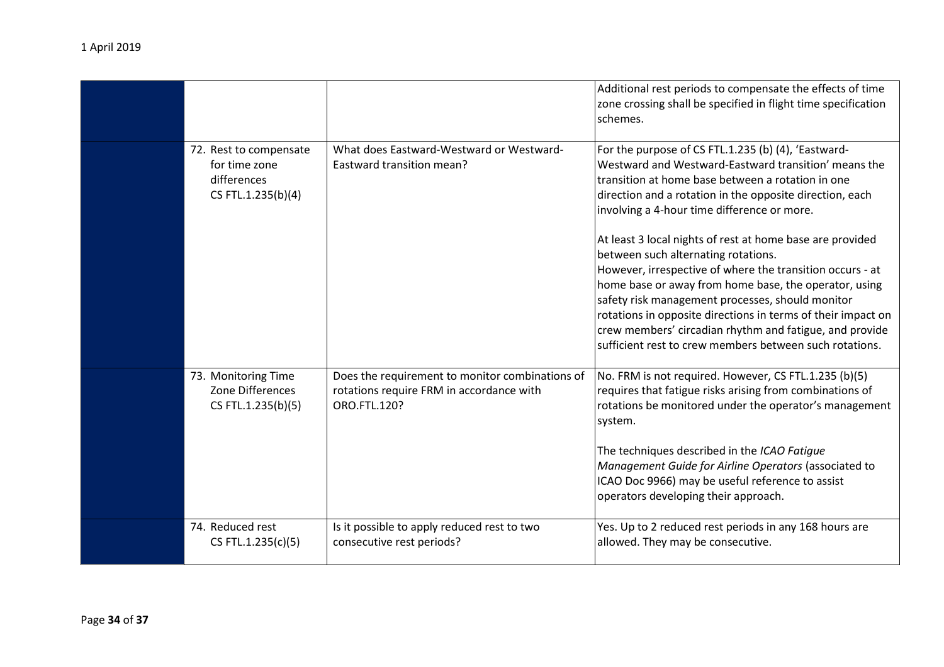|                                                                              |                                                                                                             | Additional rest periods to compensate the effects of time<br>zone crossing shall be specified in flight time specification<br>schemes.                                                                                                                                                                                                                                                                                                                                                                                                                                                                                                                                                                                                          |
|------------------------------------------------------------------------------|-------------------------------------------------------------------------------------------------------------|-------------------------------------------------------------------------------------------------------------------------------------------------------------------------------------------------------------------------------------------------------------------------------------------------------------------------------------------------------------------------------------------------------------------------------------------------------------------------------------------------------------------------------------------------------------------------------------------------------------------------------------------------------------------------------------------------------------------------------------------------|
| 72. Rest to compensate<br>for time zone<br>differences<br>CS FTL.1.235(b)(4) | What does Eastward-Westward or Westward-<br>Eastward transition mean?                                       | For the purpose of CS FTL.1.235 (b) (4), 'Eastward-<br>Westward and Westward-Eastward transition' means the<br>transition at home base between a rotation in one<br>direction and a rotation in the opposite direction, each<br>involving a 4-hour time difference or more.<br>At least 3 local nights of rest at home base are provided<br>between such alternating rotations.<br>However, irrespective of where the transition occurs - at<br>home base or away from home base, the operator, using<br>safety risk management processes, should monitor<br>rotations in opposite directions in terms of their impact on<br>crew members' circadian rhythm and fatigue, and provide<br>sufficient rest to crew members between such rotations. |
| 73. Monitoring Time<br>Zone Differences<br>CS FTL.1.235(b)(5)                | Does the requirement to monitor combinations of<br>rotations require FRM in accordance with<br>ORO.FTL.120? | No. FRM is not required. However, CS FTL.1.235 (b)(5)<br>requires that fatigue risks arising from combinations of<br>rotations be monitored under the operator's management<br>system.<br>The techniques described in the ICAO Fatigue<br>Management Guide for Airline Operators (associated to<br>ICAO Doc 9966) may be useful reference to assist<br>operators developing their approach.                                                                                                                                                                                                                                                                                                                                                     |
| 74. Reduced rest<br>CS FTL.1.235(c)(5)                                       | Is it possible to apply reduced rest to two<br>consecutive rest periods?                                    | Yes. Up to 2 reduced rest periods in any 168 hours are<br>allowed. They may be consecutive.                                                                                                                                                                                                                                                                                                                                                                                                                                                                                                                                                                                                                                                     |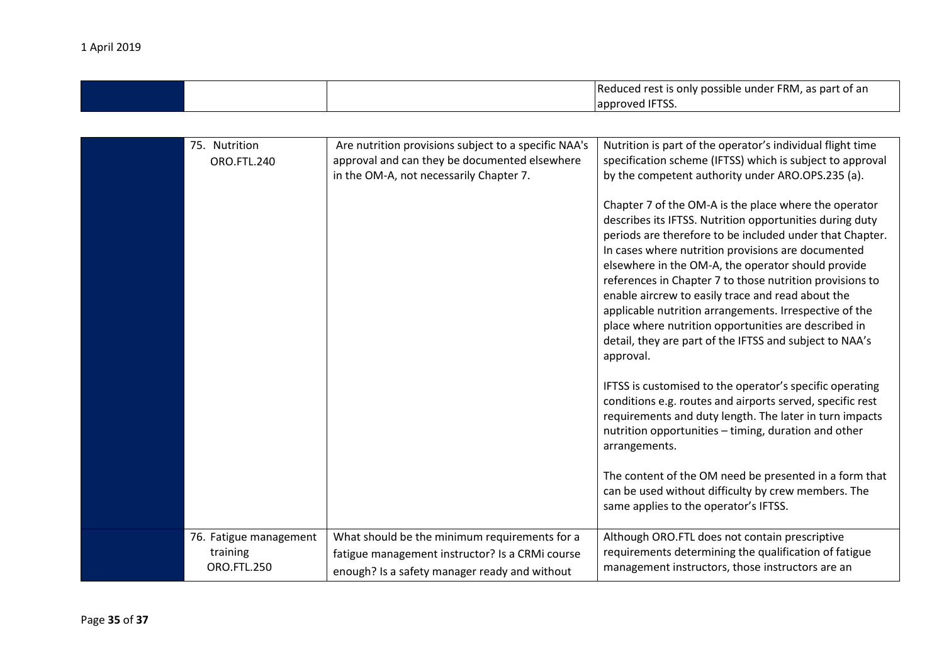|  | aduced rest is only possible under FRM, as part of an<br>-Re |
|--|--------------------------------------------------------------|
|  | .<br>lannroved<br>11 I SS                                    |

| 75. Nutrition<br>ORO.FTL.240                             | Are nutrition provisions subject to a specific NAA's<br>approval and can they be documented elsewhere<br>in the OM-A, not necessarily Chapter 7.  | Nutrition is part of the operator's individual flight time<br>specification scheme (IFTSS) which is subject to approval<br>by the competent authority under ARO.OPS.235 (a).<br>Chapter 7 of the OM-A is the place where the operator<br>describes its IFTSS. Nutrition opportunities during duty<br>periods are therefore to be included under that Chapter.<br>In cases where nutrition provisions are documented<br>elsewhere in the OM-A, the operator should provide<br>references in Chapter 7 to those nutrition provisions to<br>enable aircrew to easily trace and read about the<br>applicable nutrition arrangements. Irrespective of the<br>place where nutrition opportunities are described in<br>detail, they are part of the IFTSS and subject to NAA's<br>approval.<br>IFTSS is customised to the operator's specific operating<br>conditions e.g. routes and airports served, specific rest<br>requirements and duty length. The later in turn impacts<br>nutrition opportunities - timing, duration and other<br>arrangements.<br>The content of the OM need be presented in a form that<br>can be used without difficulty by crew members. The<br>same applies to the operator's IFTSS. |
|----------------------------------------------------------|---------------------------------------------------------------------------------------------------------------------------------------------------|-------------------------------------------------------------------------------------------------------------------------------------------------------------------------------------------------------------------------------------------------------------------------------------------------------------------------------------------------------------------------------------------------------------------------------------------------------------------------------------------------------------------------------------------------------------------------------------------------------------------------------------------------------------------------------------------------------------------------------------------------------------------------------------------------------------------------------------------------------------------------------------------------------------------------------------------------------------------------------------------------------------------------------------------------------------------------------------------------------------------------------------------------------------------------------------------------------------|
| 76. Fatigue management<br>training<br><b>ORO.FTL.250</b> | What should be the minimum requirements for a<br>fatigue management instructor? Is a CRMi course<br>enough? Is a safety manager ready and without | Although ORO.FTL does not contain prescriptive<br>requirements determining the qualification of fatigue<br>management instructors, those instructors are an                                                                                                                                                                                                                                                                                                                                                                                                                                                                                                                                                                                                                                                                                                                                                                                                                                                                                                                                                                                                                                                 |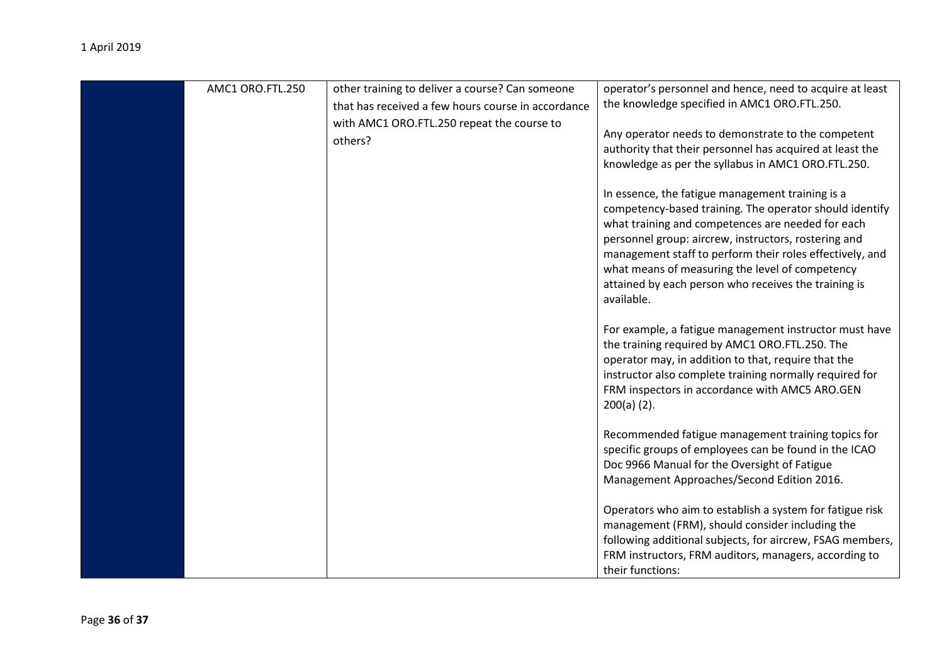| AMC1 ORO.FTL.250 | other training to deliver a course? Can someone       | operator's personnel and hence, need to acquire at least                                                                                                                                                                                                                                                                                                                                                      |
|------------------|-------------------------------------------------------|---------------------------------------------------------------------------------------------------------------------------------------------------------------------------------------------------------------------------------------------------------------------------------------------------------------------------------------------------------------------------------------------------------------|
|                  | that has received a few hours course in accordance    | the knowledge specified in AMC1 ORO.FTL.250.                                                                                                                                                                                                                                                                                                                                                                  |
|                  | with AMC1 ORO.FTL.250 repeat the course to<br>others? | Any operator needs to demonstrate to the competent<br>authority that their personnel has acquired at least the<br>knowledge as per the syllabus in AMC1 ORO.FTL.250.                                                                                                                                                                                                                                          |
|                  |                                                       | In essence, the fatigue management training is a<br>competency-based training. The operator should identify<br>what training and competences are needed for each<br>personnel group: aircrew, instructors, rostering and<br>management staff to perform their roles effectively, and<br>what means of measuring the level of competency<br>attained by each person who receives the training is<br>available. |
|                  |                                                       | For example, a fatigue management instructor must have<br>the training required by AMC1 ORO.FTL.250. The<br>operator may, in addition to that, require that the<br>instructor also complete training normally required for<br>FRM inspectors in accordance with AMC5 ARO.GEN<br>$200(a)$ (2).                                                                                                                 |
|                  |                                                       | Recommended fatigue management training topics for<br>specific groups of employees can be found in the ICAO<br>Doc 9966 Manual for the Oversight of Fatigue<br>Management Approaches/Second Edition 2016.                                                                                                                                                                                                     |
|                  |                                                       | Operators who aim to establish a system for fatigue risk<br>management (FRM), should consider including the<br>following additional subjects, for aircrew, FSAG members,<br>FRM instructors, FRM auditors, managers, according to<br>their functions:                                                                                                                                                         |